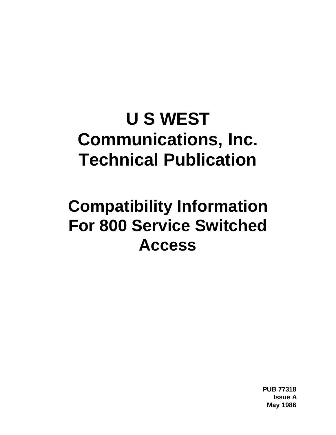# **U S WEST Communications, Inc. Technical Publication**

# **Compatibility Information For 800 Service Switched Access**

**PUB 77318 Issue A May 1986**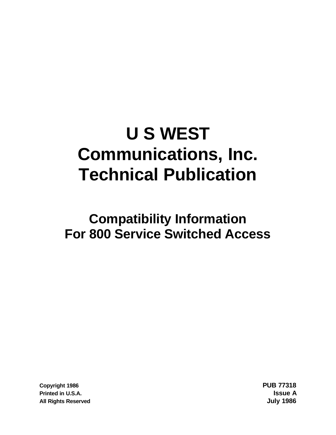# **U S WEST Communications, Inc. Technical Publication**

# **Compatibility Information For 800 Service Switched Access**

**Copyright 1986 PUB 77318 Printed in U.S.A. Issue A All Rights Reserved July 1986**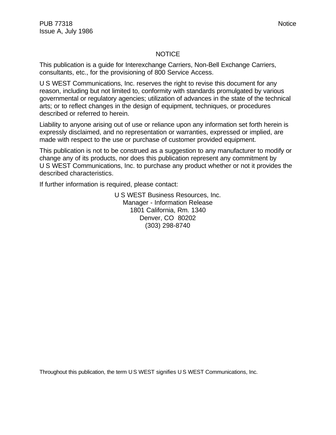### **NOTICE**

This publication is a guide for Interexchange Carriers, Non-Bell Exchange Carriers, consultants, etc., for the provisioning of 800 Service Access.

U S WEST Communications, Inc. reserves the right to revise this document for any reason, including but not limited to, conformity with standards promulgated by various governmental or regulatory agencies; utilization of advances in the state of the technical arts; or to reflect changes in the design of equipment, techniques, or procedures described or referred to herein.

Liability to anyone arising out of use or reliance upon any information set forth herein is expressly disclaimed, and no representation or warranties, expressed or implied, are made with respect to the use or purchase of customer provided equipment.

This publication is not to be construed as a suggestion to any manufacturer to modify or change any of its products, nor does this publication represent any commitment by U S WEST Communications, Inc. to purchase any product whether or not it provides the described characteristics.

If further information is required, please contact:

U S WEST Business Resources, Inc. Manager - Information Release 1801 California, Rm. 1340 Denver, CO 80202 (303) 298-8740

Throughout this publication, the term U S WEST signifies U S WEST Communications, Inc.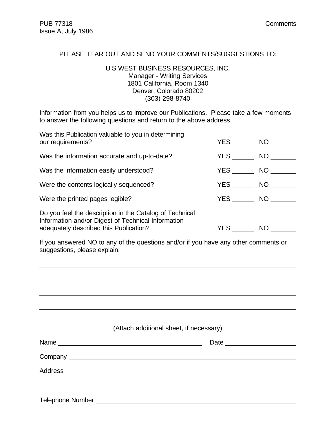l

### PLEASE TEAR OUT AND SEND YOUR COMMENTS/SUGGESTIONS TO:

### U S WEST BUSINESS RESOURCES, INC. Manager - Writing Services 1801 California, Room 1340 Denver, Colorado 80202 (303) 298-8740

Information from you helps us to improve our Publications. Please take a few moments to answer the following questions and return to the above address.

| Was this Publication valuable to you in determining<br>our requirements?                                                                                | YES        | NO D |
|---------------------------------------------------------------------------------------------------------------------------------------------------------|------------|------|
| Was the information accurate and up-to-date?                                                                                                            | YES        | NO D |
| Was the information easily understood?                                                                                                                  | <b>YES</b> | NO   |
| Were the contents logically sequenced?                                                                                                                  | YES        | NO   |
| Were the printed pages legible?                                                                                                                         | <b>YES</b> | NO.  |
| Do you feel the description in the Catalog of Technical<br>Information and/or Digest of Technical Information<br>adequately described this Publication? | YES        | NO   |

If you answered NO to any of the questions and/or if you have any other comments or suggestions, please explain:

|                  | (Attach additional sheet, if necessary) |  |
|------------------|-----------------------------------------|--|
|                  |                                         |  |
|                  |                                         |  |
|                  |                                         |  |
|                  |                                         |  |
| Telephone Number |                                         |  |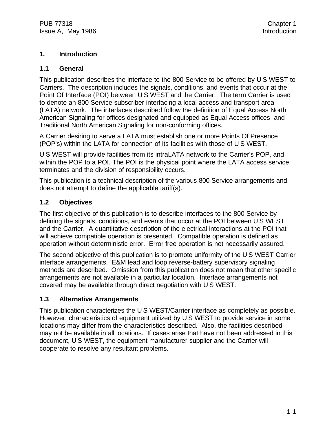# **1. Introduction**

#### **1.1 General**

This publication describes the interface to the 800 Service to be offered by U S WEST to Carriers. The description includes the signals, conditions, and events that occur at the Point Of Interface (POI) between U S WEST and the Carrier. The term Carrier is used to denote an 800 Service subscriber interfacing a local access and transport area (LATA) network. The interfaces described follow the definition of Equal Access North American Signaling for offices designated and equipped as Equal Access offices and Traditional North American Signaling for non-conforming offices.

A Carrier desiring to serve a LATA must establish one or more Points Of Presence (POP's) within the LATA for connection of its facilities with those of U S WEST.

U S WEST will provide facilities from its intraLATA network to the Carrier's POP, and within the POP to a POI. The POI is the physical point where the LATA access service terminates and the division of responsibility occurs.

This publication is a technical description of the various 800 Service arrangements and does not attempt to define the applicable tariff(s).

# **1.2 Objectives**

The first objective of this publication is to describe interfaces to the 800 Service by defining the signals, conditions, and events that occur at the POI between U S WEST and the Carrier. A quantitative description of the electrical interactions at the POI that will achieve compatible operation is presented. Compatible operation is defined as operation without deterministic error. Error free operation is not necessarily assured.

The second objective of this publication is to promote uniformity of the U S WEST Carrier interface arrangements. E&M lead and loop reverse-battery supervisory signaling methods are described. Omission from this publication does not mean that other specific arrangements are not available in a particular location. Interface arrangements not covered may be available through direct negotiation with U S WEST.

#### **1.3 Alternative Arrangements**

This publication characterizes the U S WEST/Carrier interface as completely as possible. However, characteristics of equipment utilized by U S WEST to provide service in some locations may differ from the characteristics described. Also, the facilities described may not be available in all locations. If cases arise that have not been addressed in this document, U S WEST, the equipment manufacturer-supplier and the Carrier will cooperate to resolve any resultant problems.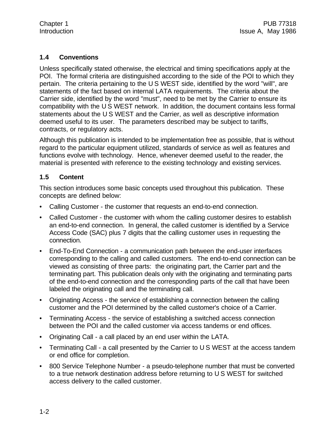# **1.4 Conventions**

Unless specifically stated otherwise, the electrical and timing specifications apply at the POI. The formal criteria are distinguished according to the side of the POI to which they pertain. The criteria pertaining to the U S WEST side, identified by the word "will", are statements of the fact based on internal LATA requirements. The criteria about the Carrier side, identified by the word "must", need to be met by the Carrier to ensure its compatibility with the U S WEST network. In addition, the document contains less formal statements about the U S WEST and the Carrier, as well as descriptive information deemed useful to its user. The parameters described may be subject to tariffs, contracts, or regulatory acts.

Although this publication is intended to be implementation free as possible, that is without regard to the particular equipment utilized, standards of service as well as features and functions evolve with technology. Hence, whenever deemed useful to the reader, the material is presented with reference to the existing technology and existing services.

#### **1.5 Content**

This section introduces some basic concepts used throughout this publication. These concepts are defined below:

- Calling Customer the customer that requests an end-to-end connection.
- Called Customer the customer with whom the calling customer desires to establish an end-to-end connection. In general, the called customer is identified by a Service Access Code (SAC) plus 7 digits that the calling customer uses in requesting the connection.
- End-To-End Connection a communication path between the end-user interfaces corresponding to the calling and called customers. The end-to-end connection can be viewed as consisting of three parts: the originating part, the Carrier part and the terminating part. This publication deals only with the originating and terminating parts of the end-to-end connection and the corresponding parts of the call that have been labeled the originating call and the terminating call.
- Originating Access the service of establishing a connection between the calling customer and the POI determined by the called customer's choice of a Carrier.
- Terminating Access the service of establishing a switched access connection between the POI and the called customer via access tandems or end offices.
- Originating Call a call placed by an end user within the LATA.
- Terminating Call a call presented by the Carrier to US WEST at the access tandem or end office for completion.
- 800 Service Telephone Number a pseudo-telephone number that must be converted to a true network destination address before returning to U S WEST for switched access delivery to the called customer.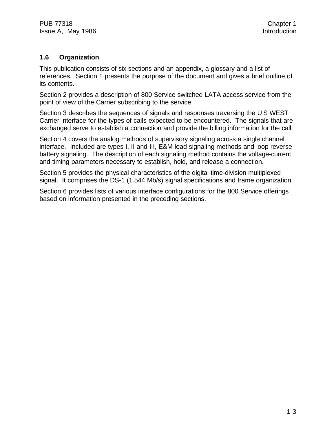# **1.6 Organization**

This publication consists of six sections and an appendix, a glossary and a list of references. Section 1 presents the purpose of the document and gives a brief outline of its contents.

Section 2 provides a description of 800 Service switched LATA access service from the point of view of the Carrier subscribing to the service.

Section 3 describes the sequences of signals and responses traversing the U S WEST Carrier interface for the types of calls expected to be encountered. The signals that are exchanged serve to establish a connection and provide the billing information for the call.

Section 4 covers the analog methods of supervisory signaling across a single channel interface. Included are types I, II and III, E&M lead signaling methods and loop reversebattery signaling. The description of each signaling method contains the voltage-current and timing parameters necessary to establish, hold, and release a connection.

Section 5 provides the physical characteristics of the digital time-division multiplexed signal. It comprises the DS-1 (1.544 Mb/s) signal specifications and frame organization.

Section 6 provides lists of various interface configurations for the 800 Service offerings based on information presented in the preceding sections.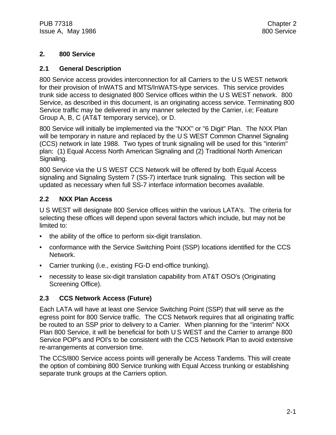# **2. 800 Service**

#### **2.1 General Description**

800 Service access provides interconnection for all Carriers to the U S WEST network for their provision of InWATS and MTS/InWATS-type services. This service provides trunk side access to designated 800 Service offices within the U S WEST network. 800 Service, as described in this document, is an originating access service. Terminating 800 Service traffic may be delivered in any manner selected by the Carrier, i.e; Feature Group A, B, C (AT&T temporary service), or D.

800 Service will initially be implemented via the "NXX" or "6 Digit" Plan. The NXX Plan will be temporary in nature and replaced by the U S WEST Common Channel Signaling (CCS) network in late 1988. Two types of trunk signaling will be used for this "interim" plan: (1) Equal Access North American Signaling and (2) Traditional North American Signaling.

800 Service via the U S WEST CCS Network will be offered by both Equal Access signaling and Signaling System 7 (SS-7) interface trunk signaling. This section will be updated as necessary when full SS-7 interface information becomes available.

# **2.2 NXX Plan Access**

U S WEST will designate 800 Service offices within the various LATA's. The criteria for selecting these offices will depend upon several factors which include, but may not be limited to:

- the ability of the office to perform six-digit translation.
- conformance with the Service Switching Point (SSP) locations identified for the CCS Network.
- Carrier trunking (i.e., existing FG-D end-office trunking).
- necessity to lease six-digit translation capability from AT&T OSO's (Originating Screening Office).

# **2.3 CCS Network Access (Future)**

Each LATA will have at least one Service Switching Point (SSP) that will serve as the egress point for 800 Service traffic. The CCS Network requires that all originating traffic be routed to an SSP prior to delivery to a Carrier. When planning for the "interim" NXX Plan 800 Service, it will be beneficial for both U S WEST and the Carrier to arrange 800 Service POP's and POI's to be consistent with the CCS Network Plan to avoid extensive re-arrangements at conversion time.

The CCS/800 Service access points will generally be Access Tandems. This will create the option of combining 800 Service trunking with Equal Access trunking or establishing separate trunk groups at the Carriers option.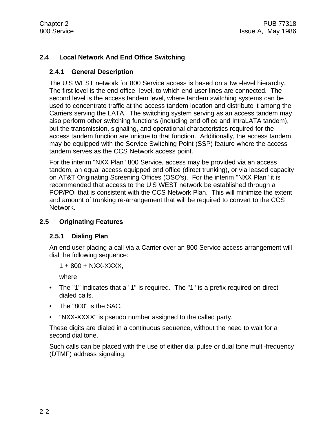# **2.4 Local Network And End Office Switching**

# **2.4.1 General Description**

The U S WEST network for 800 Service access is based on a two-level hierarchy. The first level is the end office level, to which end-user lines are connected. The second level is the access tandem level, where tandem switching systems can be used to concentrate traffic at the access tandem location and distribute it among the Carriers serving the LATA. The switching system serving as an access tandem may also perform other switching functions (including end office and IntraLATA tandem), but the transmission, signaling, and operational characteristics required for the access tandem function are unique to that function. Additionally, the access tandem may be equipped with the Service Switching Point (SSP) feature where the access tandem serves as the CCS Network access point.

For the interim "NXX Plan" 800 Service, access may be provided via an access tandem, an equal access equipped end office (direct trunking), or via leased capacity on AT&T Originating Screening Offices (OSO's). For the interim "NXX Plan" it is recommended that access to the U S WEST network be established through a POP/POI that is consistent with the CCS Network Plan. This will minimize the extent and amount of trunking re-arrangement that will be required to convert to the CCS Network.

#### **2.5 Originating Features**

#### **2.5.1 Dialing Plan**

An end user placing a call via a Carrier over an 800 Service access arrangement will dial the following sequence:

1 + 800 + NXX-XXXX,

where

- The "1" indicates that a "1" is required. The "1" is a prefix required on directdialed calls.
- The "800" is the SAC.
- "NXX-XXXX" is pseudo number assigned to the called party.

These digits are dialed in a continuous sequence, without the need to wait for a second dial tone.

Such calls can be placed with the use of either dial pulse or dual tone multi-frequency (DTMF) address signaling.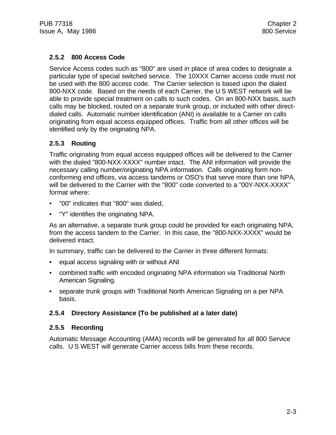# **2.5.2 800 Access Code**

Service Access codes such as "800" are used in place of area codes to designate a particular type of special switched service. The 10XXX Carrier access code must not be used with the 800 access code. The Carrier selection is based upon the dialed 800-NXX code. Based on the needs of each Carrier, the U S WEST network will be able to provide special treatment on calls to such codes. On an 800-NXX basis, such calls may be blocked, routed on a separate trunk group, or included with other directdialed calls. Automatic number identification (ANI) is available to a Carrier on calls originating from equal access equipped offices. Traffic from all other offices will be identified only by the originating NPA.

# **2.5.3 Routing**

Traffic originating from equal access equipped offices will be delivered to the Carrier with the dialed "800-NXX-XXXX" number intact. The ANI information will provide the necessary calling number/originating NPA information. Calls originating form nonconforming end offices, via access tandems or OSO's that serve more than one NPA, will be delivered to the Carrier with the "800" code converted to a "00Y-NXX-XXXX" format where:

- "00" indicates that "800" was dialed,
- "Y" identifies the originating NPA.

As an alternative, a separate trunk group could be provided for each originating NPA, from the access tandem to the Carrier. In this case, the "800-NXX-XXXX" would be delivered intact.

In summary, traffic can be delivered to the Carrier in three different formats:

- equal access signaling with or without ANI
- combined traffic with encoded originating NPA information via Traditional North American Signaling.
- separate trunk groups with Traditional North American Signaling on a per NPA basis.

#### **2.5.4 Directory Assistance (To be published at a later date)**

#### **2.5.5 Recording**

Automatic Message Accounting (AMA) records will be generated for all 800 Service calls. U S WEST will generate Carrier access bills from these records.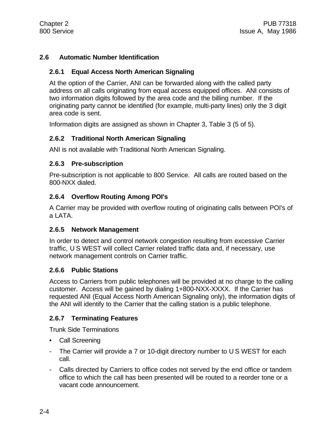# **2.6 Automatic Number Identification**

#### **2.6.1 Equal Access North American Signaling**

At the option of the Carrier, ANI can be forwarded along with the called party address on all calls originating from equal access equipped offices. ANI consists of two information digits followed by the area code and the billing number. If the originating party cannot be identified (for example, multi-party lines) only the 3 digit area code is sent.

Information digits are assigned as shown in Chapter 3, Table 3 (5 of 5).

# **2.6.2 Traditional North American Signaling**

ANI is not available with Traditional North American Signaling.

#### **2.6.3 Pre-subscription**

Pre-subscription is not applicable to 800 Service. All calls are routed based on the 800-NXX dialed.

#### **2.6.4 Overflow Routing Among POI's**

A Carrier may be provided with overflow routing of originating calls between POI's of a LATA.

#### **2.6.5 Network Management**

In order to detect and control network congestion resulting from excessive Carrier traffic, U S WEST will collect Carrier related traffic data and, if necessary, use network management controls on Carrier traffic.

#### **2.6.6 Public Stations**

Access to Carriers from public telephones will be provided at no charge to the calling customer. Access will be gained by dialing 1+800-NXX-XXXX. If the Carrier has requested ANI (Equal Access North American Signaling only), the information digits of the ANI will identify to the Carrier that the calling station is a public telephone.

#### **2.6.7 Terminating Features**

Trunk Side Terminations

- Call Screening
- The Carrier will provide a 7 or 10-digit directory number to U S WEST for each call.
- Calls directed by Carriers to office codes not served by the end office or tandem office to which the call has been presented will be routed to a reorder tone or a vacant code announcement.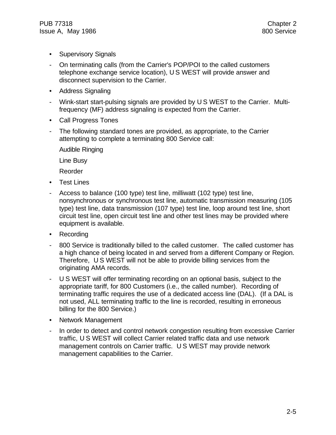PUB 77318 Chapter 2 Issue A, May 1986 800 Service

- Supervisory Signals
- On terminating calls (from the Carrier's POP/POI to the called customers telephone exchange service location), U S WEST will provide answer and disconnect supervision to the Carrier.
- Address Signaling
- Wink-start start-pulsing signals are provided by U S WEST to the Carrier. Multifrequency (MF) address signaling is expected from the Carrier.
- Call Progress Tones
- The following standard tones are provided, as appropriate, to the Carrier attempting to complete a terminating 800 Service call:

Audible Ringing

Line Busy

Reorder

- Test Lines
- Access to balance (100 type) test line, milliwatt (102 type) test line, nonsynchronous or synchronous test line, automatic transmission measuring (105 type) test line, data transmission (107 type) test line, loop around test line, short circuit test line, open circuit test line and other test lines may be provided where equipment is available.
- Recording
- 800 Service is traditionally billed to the called customer. The called customer has a high chance of being located in and served from a different Company or Region. Therefore, U S WEST will not be able to provide billing services from the originating AMA records.
- U S WEST will offer terminating recording on an optional basis, subject to the appropriate tariff, for 800 Customers (i.e., the called number). Recording of terminating traffic requires the use of a dedicated access line (DAL). (If a DAL is not used, ALL terminating traffic to the line is recorded, resulting in erroneous billing for the 800 Service.)
- Network Management
- In order to detect and control network congestion resulting from excessive Carrier traffic, U S WEST will collect Carrier related traffic data and use network management controls on Carrier traffic. U S WEST may provide network management capabilities to the Carrier.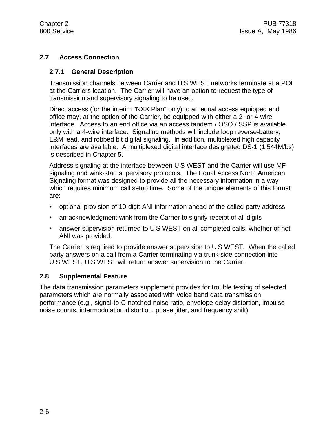# **2.7 Access Connection**

### **2.7.1 General Description**

Transmission channels between Carrier and U S WEST networks terminate at a POI at the Carriers location. The Carrier will have an option to request the type of transmission and supervisory signaling to be used.

Direct access (for the interim "NXX Plan" only) to an equal access equipped end office may, at the option of the Carrier, be equipped with either a 2- or 4-wire interface. Access to an end office via an access tandem / OSO / SSP is available only with a 4-wire interface. Signaling methods will include loop reverse-battery, E&M lead, and robbed bit digital signaling. In addition, multiplexed high capacity interfaces are available. A multiplexed digital interface designated DS-1 (1.544M/bs) is described in Chapter 5.

Address signaling at the interface between U S WEST and the Carrier will use MF signaling and wink-start supervisory protocols. The Equal Access North American Signaling format was designed to provide all the necessary information in a way which requires minimum call setup time. Some of the unique elements of this format are:

- optional provision of 10-digit ANI information ahead of the called party address
- an acknowledgment wink from the Carrier to signify receipt of all digits
- answer supervision returned to U S WEST on all completed calls, whether or not ANI was provided.

The Carrier is required to provide answer supervision to U S WEST. When the called party answers on a call from a Carrier terminating via trunk side connection into U S WEST, U S WEST will return answer supervision to the Carrier.

#### **2.8 Supplemental Feature**

The data transmission parameters supplement provides for trouble testing of selected parameters which are normally associated with voice band data transmission performance (e.g., signal-to-C-notched noise ratio, envelope delay distortion, impulse noise counts, intermodulation distortion, phase jitter, and frequency shift).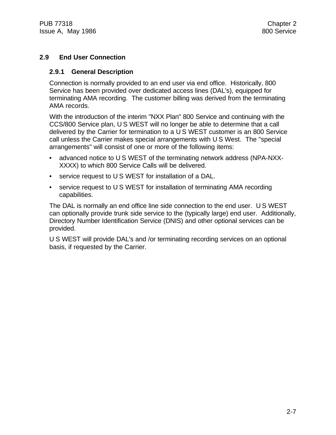# **2.9 End User Connection**

#### **2.9.1 General Description**

Connection is normally provided to an end user via end office. Historically, 800 Service has been provided over dedicated access lines (DAL's), equipped for terminating AMA recording. The customer billing was derived from the terminating AMA records.

With the introduction of the interim "NXX Plan" 800 Service and continuing with the CCS/800 Service plan, U S WEST will no longer be able to determine that a call delivered by the Carrier for termination to a U S WEST customer is an 800 Service call unless the Carrier makes special arrangements with U S West. The "special arrangements" will consist of one or more of the following items:

- advanced notice to U S WEST of the terminating network address (NPA-NXX-XXXX) to which 800 Service Calls will be delivered.
- service request to U S WEST for installation of a DAL.
- service request to U S WEST for installation of terminating AMA recording capabilities.

The DAL is normally an end office line side connection to the end user. U S WEST can optionally provide trunk side service to the (typically large) end user. Additionally, Directory Number Identification Service (DNIS) and other optional services can be provided.

U S WEST will provide DAL's and /or terminating recording services on an optional basis, if requested by the Carrier.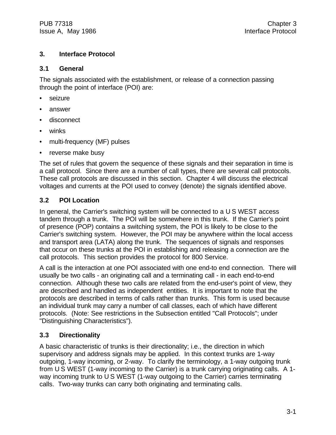# **3. Interface Protocol**

# **3.1 General**

The signals associated with the establishment, or release of a connection passing through the point of interface (POI) are:

- seizure
- answer
- disconnect
- winks
- multi-frequency (MF) pulses
- reverse make busy

The set of rules that govern the sequence of these signals and their separation in time is a call protocol. Since there are a number of call types, there are several call protocols. These call protocols are discussed in this section. Chapter 4 will discuss the electrical voltages and currents at the POI used to convey (denote) the signals identified above.

# **3.2 POI Location**

In general, the Carrier's switching system will be connected to a U S WEST access tandem through a trunk. The POI will be somewhere in this trunk. If the Carrier's point of presence (POP) contains a switching system, the POI is likely to be close to the Carrier's switching system. However, the POI may be anywhere within the local access and transport area (LATA) along the trunk. The sequences of signals and responses that occur on these trunks at the POI in establishing and releasing a connection are the call protocols. This section provides the protocol for 800 Service.

A call is the interaction at one POI associated with one end-to end connection. There will usually be two calls - an originating call and a terminating call - in each end-to-end connection. Although these two calls are related from the end-user's point of view, they are described and handled as independent entities. It is important to note that the protocols are described in terms of calls rather than trunks. This form is used because an individual trunk may carry a number of call classes, each of which have different protocols. (Note: See restrictions in the Subsection entitled "Call Protocols"; under "Distinguishing Characteristics").

# **3.3 Directionality**

A basic characteristic of trunks is their directionality; i.e., the direction in which supervisory and address signals may be applied. In this context trunks are 1-way outgoing, 1-way incoming, or 2-way. To clarify the terminology, a 1-way outgoing trunk from U S WEST (1-way incoming to the Carrier) is a trunk carrying originating calls. A 1 way incoming trunk to U S WEST (1-way outgoing to the Carrier) carries terminating calls. Two-way trunks can carry both originating and terminating calls.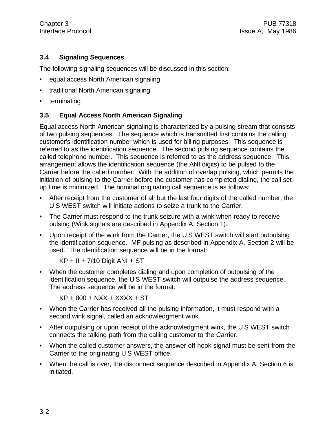# **3.4 Signaling Sequences**

The following signaling sequences will be discussed in this section:

- equal access North American signaling
- traditional North American signaling
- terminating

# **3.5 Equal Access North American Signaling**

Equal access North American signaling is characterized by a pulsing stream that consists of two pulsing sequences. The sequence which is transmitted first contains the calling customer's identification number which is used for billing purposes. This sequence is referred to as the identification sequence. The second pulsing sequence contains the called telephone number. This sequence is referred to as the address sequence. This arrangement allows the identification sequence (the ANI digits) to be pulsed to the Carrier before the called number. With the addition of overlap pulsing, which permits the initiation of pulsing to the Carrier before the customer has completed dialing, the call set up time is minimized. The nominal originating call sequence is as follows:

- After receipt from the customer of all but the last four digits of the called number, the U S WEST switch will initiate actions to seize a trunk to the Carrier.
- The Carrier must respond to the trunk seizure with a wink when ready to receive pulsing (Wink signals are described in Appendix A, Section 1).
- Upon receipt of the wink from the Carrier, the U S WEST switch will start outpulsing the identification sequence. MF pulsing as described in Appendix A, Section 2 will be used. The identification sequence will be in the format:

 $KP + II + 7/10$  Digit ANI + ST

• When the customer completes dialing and upon completion of outpulsing of the identification sequence, the U S WEST switch will outpulse the address sequence. The address sequence will be in the format:

KP + 800 + NXX + XXXX + ST

- When the Carrier has received all the pulsing information, it must respond with a second wink signal, called an acknowledgment wink.
- After outpulsing or upon receipt of the acknowledgment wink, the U S WEST switch connects the talking path from the calling customer to the Carrier.
- When the called customer answers, the answer off-hook signal must be sent from the Carrier to the originating U S WEST office.
- When the call is over, the disconnect sequence described in Appendix A, Section 6 is initiated.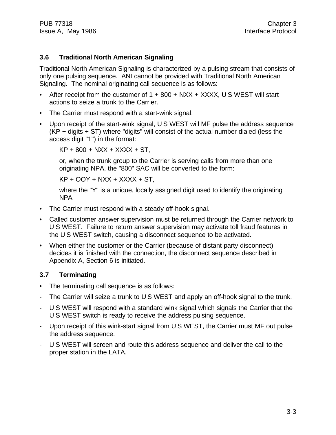# **3.6 Traditional North American Signaling**

Traditional North American Signaling is characterized by a pulsing stream that consists of only one pulsing sequence. ANI cannot be provided with Traditional North American Signaling. The nominal originating call sequence is as follows:

- After receipt from the customer of  $1 + 800 + NXX + XXXX$ , US WEST will start actions to seize a trunk to the Carrier.
- The Carrier must respond with a start-wink signal.
- Upon receipt of the start-wink signal, U S WEST will MF pulse the address sequence (KP + digits + ST) where "digits" will consist of the actual number dialed (less the access digit "1") in the format:

 $KP + 800 + NXX + XXXX + ST$ ,

or, when the trunk group to the Carrier is serving calls from more than one originating NPA, the "800" SAC will be converted to the form:

 $KP + OOY + NXX + XXXX + ST$ 

where the "Y" is a unique, locally assigned digit used to identify the originating NPA.

- The Carrier must respond with a steady off-hook signal.
- Called customer answer supervision must be returned through the Carrier network to U S WEST. Failure to return answer supervision may activate toll fraud features in the U S WEST switch, causing a disconnect sequence to be activated.
- When either the customer or the Carrier (because of distant party disconnect) decides it is finished with the connection, the disconnect sequence described in Appendix A, Section 6 is initiated.

# **3.7 Terminating**

- The terminating call sequence is as follows:
- The Carrier will seize a trunk to U S WEST and apply an off-hook signal to the trunk.
- U S WEST will respond with a standard wink signal which signals the Carrier that the U S WEST switch is ready to receive the address pulsing sequence.
- Upon receipt of this wink-start signal from U S WEST, the Carrier must MF out pulse the address sequence.
- U S WEST will screen and route this address sequence and deliver the call to the proper station in the LATA.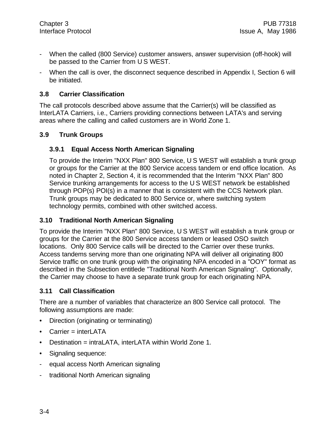- When the called (800 Service) customer answers, answer supervision (off-hook) will be passed to the Carrier from U S WEST.
- When the call is over, the disconnect sequence described in Appendix I, Section 6 will be initiated.

# **3.8 Carrier Classification**

The call protocols described above assume that the Carrier(s) will be classified as InterLATA Carriers, i.e., Carriers providing connections between LATA's and serving areas where the calling and called customers are in World Zone 1.

# **3.9 Trunk Groups**

# **3.9.1 Equal Access North American Signaling**

To provide the Interim "NXX Plan" 800 Service, U S WEST will establish a trunk group or groups for the Carrier at the 800 Service access tandem or end office location. As noted in Chapter 2, Section 4, it is recommended that the Interim "NXX Plan" 800 Service trunking arrangements for access to the U S WEST network be established through POP(s) POI(s) in a manner that is consistent with the CCS Network plan. Trunk groups may be dedicated to 800 Service or, where switching system technology permits, combined with other switched access.

# **3.10 Traditional North American Signaling**

To provide the Interim "NXX Plan" 800 Service, U S WEST will establish a trunk group or groups for the Carrier at the 800 Service access tandem or leased OSO switch locations. Only 800 Service calls will be directed to the Carrier over these trunks. Access tandems serving more than one originating NPA will deliver all originating 800 Service traffic on one trunk group with the originating NPA encoded in a "OOY" format as described in the Subsection entitlede "Traditional North American Signaling". Optionally, the Carrier may choose to have a separate trunk group for each originating NPA.

# **3.11 Call Classification**

There are a number of variables that characterize an 800 Service call protocol. The following assumptions are made:

- Direction (originating or terminating)
- Carrier = interLATA
- Destination = intraLATA, interLATA within World Zone 1.
- Signaling sequence:
- equal access North American signaling
- traditional North American signaling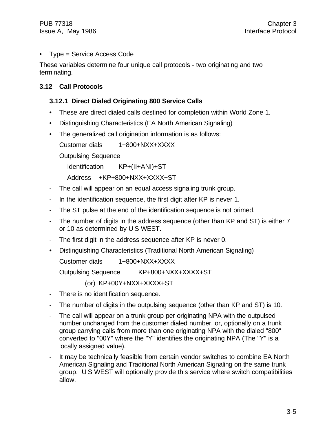# • Type = Service Access Code

These variables determine four unique call protocols - two originating and two terminating.

# **3.12 Call Protocols**

# **3.12.1 Direct Dialed Originating 800 Service Calls**

- These are direct dialed calls destined for completion within World Zone 1.
- Distinguishing Characteristics (EA North American Signaling)
- The generalized call origination information is as follows:

Customer dials 1+800+NXX+XXXX

Outpulsing Sequence

Identification KP+(II+ANI)+ST

Address +KP+800+NXX+XXXX+ST

- The call will appear on an equal access signaling trunk group.
- In the identification sequence, the first digit after KP is never 1.
- The ST pulse at the end of the identification sequence is not primed.
- The number of digits in the address sequence (other than KP and ST) is either 7 or 10 as determined by U S WEST.
- The first digit in the address sequence after KP is never 0.
- Distinguishing Characteristics (Traditional North American Signaling)

Customer dials 1+800+NXX+XXXX

Outpulsing Sequence KP+800+NXX+XXXX+ST

(or) KP+00Y+NXX+XXXX+ST

- There is no identification sequence.
- The number of digits in the outpulsing sequence (other than KP and ST) is 10.
- The call will appear on a trunk group per originating NPA with the outpulsed number unchanged from the customer dialed number, or, optionally on a trunk group carrying calls from more than one originating NPA with the dialed "800" converted to "00Y" where the "Y" identifies the originating NPA (The "Y" is a locally assigned value).
- It may be technically feasible from certain vendor switches to combine EA North American Signaling and Traditional North American Signaling on the same trunk group. U S WEST will optionally provide this service where switch compatibilities allow.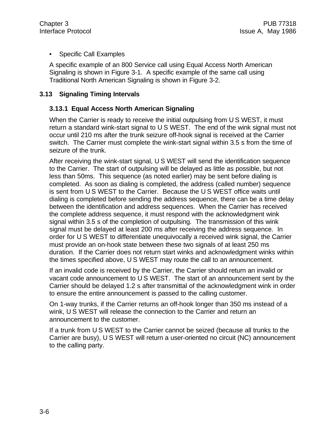• Specific Call Examples

A specific example of an 800 Service call using Equal Access North American Signaling is shown in Figure 3-1. A specific example of the same call using Traditional North American Signaling is shown in Figure 3-2.

# **3.13 Signaling Timing Intervals**

# **3.13.1 Equal Access North American Signaling**

When the Carrier is ready to receive the initial outpulsing from U S WEST, it must return a standard wink-start signal to U S WEST. The end of the wink signal must not occur until 210 ms after the trunk seizure off-hook signal is received at the Carrier switch. The Carrier must complete the wink-start signal within 3.5 s from the time of seizure of the trunk.

After receiving the wink-start signal, U S WEST will send the identification sequence to the Carrier. The start of outpulsing will be delayed as little as possible, but not less than 50ms. This sequence (as noted earlier) may be sent before dialing is completed. As soon as dialing is completed, the address (called number) sequence is sent from U S WEST to the Carrier. Because the U S WEST office waits until dialing is completed before sending the address sequence, there can be a time delay between the identification and address sequences. When the Carrier has received the complete address sequence, it must respond with the acknowledgment wink signal within 3.5 s of the completion of outpulsing. The transmission of this wink signal must be delayed at least 200 ms after receiving the address sequence. In order for U S WEST to differentiate unequivocally a received wink signal, the Carrier must provide an on-hook state between these two signals of at least 250 ms duration. If the Carrier does not return start winks and acknowledgment winks within the times specified above, U S WEST may route the call to an announcement.

If an invalid code is received by the Carrier, the Carrier should return an invalid or vacant code announcement to U S WEST. The start of an announcement sent by the Carrier should be delayed 1.2 s after transmittal of the acknowledgment wink in order to ensure the entire announcement is passed to the calling customer.

On 1-way trunks, if the Carrier returns an off-hook longer than 350 ms instead of a wink, U S WEST will release the connection to the Carrier and return an announcement to the customer.

If a trunk from U S WEST to the Carrier cannot be seized (because all trunks to the Carrier are busy), U S WEST will return a user-oriented no circuit (NC) announcement to the calling party.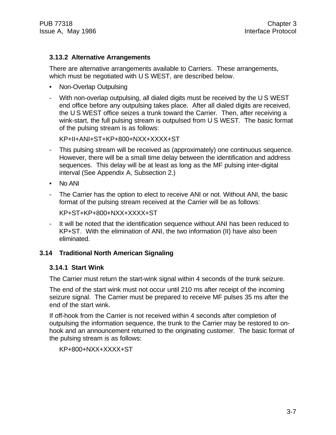#### **3.13.2 Alternative Arrangements**

There are alternative arrangements available to Carriers. These arrangements, which must be negotiated with U S WEST, are described below.

- Non-Overlap Outpulsing
- With non-overlap outpulsing, all dialed digits must be received by the U S WEST end office before any outpulsing takes place. After all dialed digits are received, the U S WEST office seizes a trunk toward the Carrier. Then, after receiving a wink-start, the full pulsing stream is outpulsed from U S WEST. The basic format of the pulsing stream is as follows:

KP+II+ANI+ST+KP+800+NXX+XXXX+ST

- This pulsing stream will be received as (approximately) one continuous sequence. However, there will be a small time delay between the identification and address sequences. This delay will be at least as long as the MF pulsing inter-digital interval (See Appendix A, Subsection 2.)
- No ANI
- The Carrier has the option to elect to receive ANI or not. Without ANI, the basic format of the pulsing stream received at the Carrier will be as follows:

KP+ST+KP+800+NXX+XXXX+ST

- It will be noted that the identification sequence without ANI has been reduced to KP+ST. With the elimination of ANI, the two information (II) have also been eliminated.

#### **3.14 Traditional North American Signaling**

#### **3.14.1 Start Wink**

The Carrier must return the start-wink signal within 4 seconds of the trunk seizure.

The end of the start wink must not occur until 210 ms after receipt of the incoming seizure signal. The Carrier must be prepared to receive MF pulses 35 ms after the end of the start wink.

If off-hook from the Carrier is not received within 4 seconds after completion of outpulsing the information sequence, the trunk to the Carrier may be restored to onhook and an announcement returned to the originating customer. The basic format of the pulsing stream is as follows:

KP+800+NXX+XXXX+ST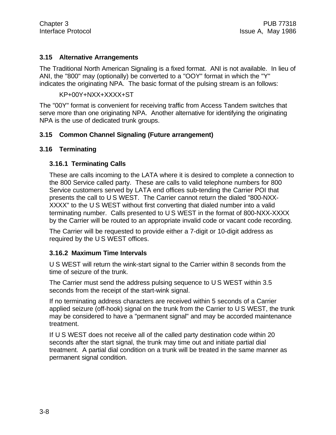# **3.15 Alternative Arrangements**

The Traditional North American Signaling is a fixed format. ANI is not available. In lieu of ANI, the "800" may (optionally) be converted to a "OOY" format in which the "Y" indicates the originating NPA. The basic format of the pulsing stream is an follows:

### KP+00Y+NXX+XXXX+ST

The "00Y" format is convenient for receiving traffic from Access Tandem switches that serve more than one originating NPA. Another alternative for identifying the originating NPA is the use of dedicated trunk groups.

# **3.15 Common Channel Signaling (Future arrangement)**

# **3.16 Terminating**

# **3.16.1 Terminating Calls**

These are calls incoming to the LATA where it is desired to complete a connection to the 800 Service called party. These are calls to valid telephone numbers for 800 Service customers served by LATA end offices sub-tending the Carrier POI that presents the call to U S WEST. The Carrier cannot return the dialed "800-NXX-XXXX" to the U S WEST without first converting that dialed number into a valid terminating number. Calls presented to U S WEST in the format of 800-NXX-XXXX by the Carrier will be routed to an appropriate invalid code or vacant code recording.

The Carrier will be requested to provide either a 7-digit or 10-digit address as required by the U S WEST offices.

#### **3.16.2 Maximum Time Intervals**

U S WEST will return the wink-start signal to the Carrier within 8 seconds from the time of seizure of the trunk.

The Carrier must send the address pulsing sequence to U S WEST within 3.5 seconds from the receipt of the start-wink signal.

If no terminating address characters are received within 5 seconds of a Carrier applied seizure (off-hook) signal on the trunk from the Carrier to U S WEST, the trunk may be considered to have a "permanent signal" and may be accorded maintenance treatment.

If U S WEST does not receive all of the called party destination code within 20 seconds after the start signal, the trunk may time out and initiate partial dial treatment. A partial dial condition on a trunk will be treated in the same manner as permanent signal condition.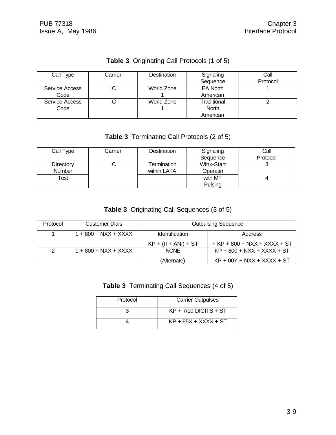| Table 3 Originating Call Protocols (1 of 5) |  |
|---------------------------------------------|--|
|---------------------------------------------|--|

| Call Type      | Carrier | Destination | Signaling    | Call     |
|----------------|---------|-------------|--------------|----------|
|                |         |             | Sequence     | Protocol |
| Service Access | IC      | World Zone  | EA North     |          |
| Code           |         |             | American     |          |
| Service Access | IC      | World Zone  | Traditional  |          |
| Code           |         |             | <b>North</b> |          |
|                |         |             | American     |          |

# **Table 3** Terminating Call Protocols (2 of 5)

| Call Type     | Carrier | Destination | Signaling         | Call     |
|---------------|---------|-------------|-------------------|----------|
|               |         |             | Sequence          | Protocol |
| Directory     | IC      | Termination | <b>Wink-Start</b> | J        |
| <b>Number</b> |         | within LATA | Operatin          |          |
| Test          |         |             | with MF           |          |
|               |         |             | Pulsing           |          |

# **Table 3** Originating Call Sequences (3 of 5)

| Protocol | <b>Customer Dials</b>  | <b>Outpulsing Sequence</b> |                                |  |
|----------|------------------------|----------------------------|--------------------------------|--|
|          | $1 + 800 + NXX + XXXX$ | Identification             | Address                        |  |
|          |                        | $KP + (II + ANI) + ST$     | $+$ KP + 800 + NXX + XXXX + ST |  |
| 2        | $1 + 800 + NXX + XXXX$ | <b>NONE</b>                | $KP + 800 + NXX + XXXX + ST$   |  |
|          |                        | (Alternate)                | $KP + 00Y + NXX + XXXX + ST$   |  |

# **Table 3** Terminating Call Sequences (4 of 5)

| Protocol | <b>Carrier Outpulses</b> |
|----------|--------------------------|
|          | $KP + 7/10$ DIGITS + ST  |
|          | $KP + 95X + XXXX + ST$   |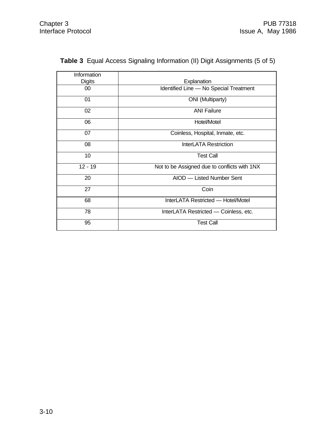| Information   |                                              |
|---------------|----------------------------------------------|
| <b>Digits</b> | Explanation                                  |
| 00            | Identified Line - No Special Treatment       |
| 01            | ONI (Multiparty)                             |
| 02            | <b>ANI Failure</b>                           |
| 06            | Hotel/Motel                                  |
| 07            | Coinless, Hospital, Inmate, etc.             |
| 08            | InterLATA Restriction                        |
| 10            | <b>Test Call</b>                             |
| $12 - 19$     | Not to be Assigned due to conflicts with 1NX |
| 20            | AIOD - Listed Number Sent                    |
| 27            | Coin                                         |
| 68            | InterLATA Restricted - Hotel/Motel           |
| 78            | InterLATA Restricted - Coinless, etc.        |
| 95            | <b>Test Call</b>                             |

# **Table 3** Equal Access Signaling Information (II) Digit Assignments (5 of 5)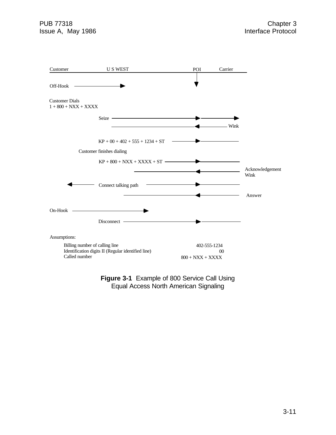

**Figure 3-1** Example of 800 Service Call Using Equal Access North American Signaling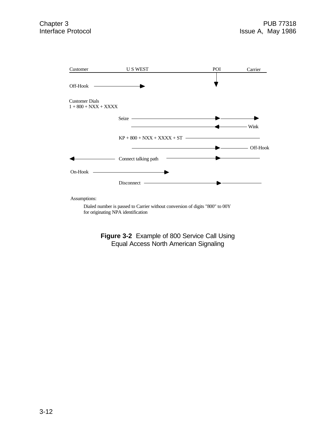

Assumptions:

Dialed number is passed to Carrier without conversion of digits "800" to 00Y for originating NPA identification

> **Figure 3-2** Example of 800 Service Call Using Equal Access North American Signaling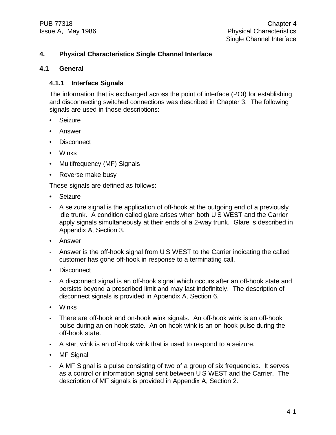# **4. Physical Characteristics Single Channel Interface**

#### **4.1 General**

### **4.1.1 Interface Signals**

The information that is exchanged across the point of interface (POI) for establishing and disconnecting switched connections was described in Chapter 3. The following signals are used in those descriptions:

- Seizure
- Answer
- Disconnect
- Winks
- Multifrequency (MF) Signals
- Reverse make busy

These signals are defined as follows:

- Seizure
- A seizure signal is the application of off-hook at the outgoing end of a previously idle trunk. A condition called glare arises when both U S WEST and the Carrier apply signals simultaneously at their ends of a 2-way trunk. Glare is described in Appendix A, Section 3.
- Answer
- Answer is the off-hook signal from U S WEST to the Carrier indicating the called customer has gone off-hook in response to a terminating call.
- Disconnect
- A disconnect signal is an off-hook signal which occurs after an off-hook state and persists beyond a prescribed limit and may last indefinitely. The description of disconnect signals is provided in Appendix A, Section 6.
- Winks
- There are off-hook and on-hook wink signals. An off-hook wink is an off-hook pulse during an on-hook state. An on-hook wink is an on-hook pulse during the off-hook state.
- A start wink is an off-hook wink that is used to respond to a seizure.
- MF Signal
- A MF Signal is a pulse consisting of two of a group of six frequencies. It serves as a control or information signal sent between U S WEST and the Carrier. The description of MF signals is provided in Appendix A, Section 2.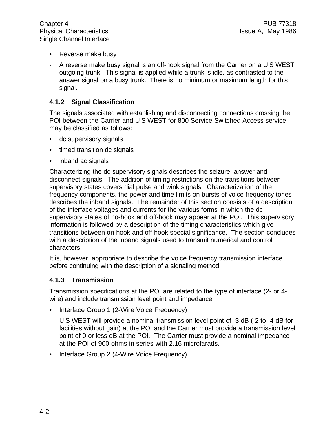- Reverse make busy
- A reverse make busy signal is an off-hook signal from the Carrier on a U S WEST outgoing trunk. This signal is applied while a trunk is idle, as contrasted to the answer signal on a busy trunk. There is no minimum or maximum length for this signal.

# **4.1.2 Signal Classification**

The signals associated with establishing and disconnecting connections crossing the POI between the Carrier and U S WEST for 800 Service Switched Access service may be classified as follows:

- dc supervisory signals
- timed transition dc signals
- inband ac signals

Characterizing the dc supervisory signals describes the seizure, answer and disconnect signals. The addition of timing restrictions on the transitions between supervisory states covers dial pulse and wink signals. Characterization of the frequency components, the power and time limits on bursts of voice frequency tones describes the inband signals. The remainder of this section consists of a description of the interface voltages and currents for the various forms in which the dc supervisory states of no-hook and off-hook may appear at the POI. This supervisory information is followed by a description of the timing characteristics which give transitions between on-hook and off-hook special significance. The section concludes with a description of the inband signals used to transmit numerical and control characters.

It is, however, appropriate to describe the voice frequency transmission interface before continuing with the description of a signaling method.

# **4.1.3 Transmission**

Transmission specifications at the POI are related to the type of interface (2- or 4 wire) and include transmission level point and impedance.

- Interface Group 1 (2-Wire Voice Frequency)
- U S WEST will provide a nominal transmission level point of -3 dB (-2 to -4 dB for facilities without gain) at the POI and the Carrier must provide a transmission level point of 0 or less dB at the POI. The Carrier must provide a nominal impedance at the POI of 900 ohms in series with 2.16 microfarads.
- Interface Group 2 (4-Wire Voice Frequency)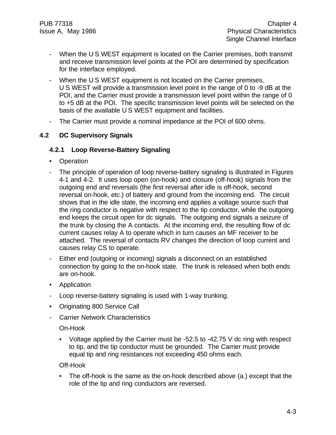- When the U S WEST equipment is located on the Carrier premises, both transmit and receive transmission level points at the POI are determined by specification for the interface employed.
- When the U S WEST equipment is not located on the Carrier premises, U S WEST will provide a transmission level point in the range of 0 to -9 dB at the POI, and the Carrier must provide a transmission level point within the range of 0 to +5 dB at the POI. The specific transmission level points will be selected on the basis of the available U S WEST equipment and facilities.
- The Carrier must provide a nominal impedance at the POI of 600 ohms.

# **4.2 DC Supervisory Signals**

# **4.2.1 Loop Reverse-Battery Signaling**

- Operation
- The principle of operation of loop reverse-battery signaling is illustrated in Figures 4-1 and 4-2. It uses loop open (on-hook) and closure (off-hook) signals from the outgoing end and reversals (the first reversal after idle is off-hook, second reversal on-hook, etc.) of battery and ground from the incoming end. The circuit shows that in the idle state, the incoming end applies a voltage source such that the ring conductor is negative with respect to the tip conductor, while the outgoing end keeps the circuit open for dc signals. The outgoing end signals a seizure of the trunk by closing the A contacts. At the incoming end, the resulting flow of dc current causes relay A to operate which in turn causes an MF receiver to be attached. The reversal of contacts RV changes the direction of loop current and causes relay CS to operate.
- Either end (outgoing or incoming) signals a disconnect on an established connection by going to the on-hook state. The trunk is released when both ends are on-hook.
- Application
- Loop reverse-battery signaling is used with 1-way trunking.
- Originating 800 Service Call
- Carrier Network Characteristics

On-Hook

• Voltage applied by the Carrier must be -52.5 to -42.75 V dc ring with respect to tip, and the tip conductor must be grounded. The Carrier must provide equal tip and ring resistances not exceeding 450 ohms each.

Off-Hook

• The off-hook is the same as the on-hook described above (a.) except that the role of the tip and ring conductors are reversed.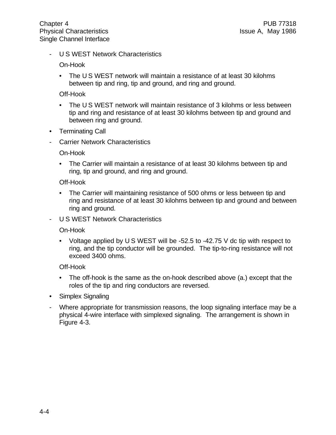- U S WEST Network Characteristics

On-Hook

• The US WEST network will maintain a resistance of at least 30 kilohms between tip and ring, tip and ground, and ring and ground.

Off-Hook

- The U S WEST network will maintain resistance of 3 kilohms or less between tip and ring and resistance of at least 30 kilohms between tip and ground and between ring and ground.
- Terminating Call
- Carrier Network Characteristics

On-Hook

• The Carrier will maintain a resistance of at least 30 kilohms between tip and ring, tip and ground, and ring and ground.

#### Off-Hook

- The Carrier will maintaining resistance of 500 ohms or less between tip and ring and resistance of at least 30 kilohms between tip and ground and between ring and ground.
- U S WEST Network Characteristics

On-Hook

• Voltage applied by U S WEST will be -52.5 to -42.75 V dc tip with respect to ring, and the tip conductor will be grounded. The tip-to-ring resistance will not exceed 3400 ohms.

Off-Hook

- The off-hook is the same as the on-hook described above (a.) except that the roles of the tip and ring conductors are reversed.
- Simplex Signaling
- Where appropriate for transmission reasons, the loop signaling interface may be a physical 4-wire interface with simplexed signaling. The arrangement is shown in Figure 4-3.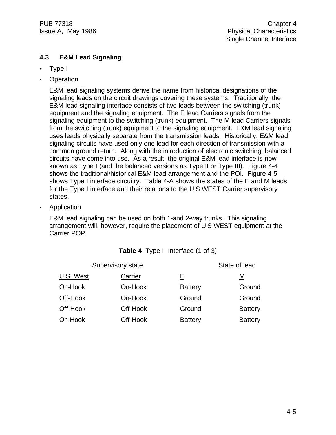# **4.3 E&M Lead Signaling**

- Type I
- **Operation**

E&M lead signaling systems derive the name from historical designations of the signaling leads on the circuit drawings covering these systems. Traditionally, the E&M lead signaling interface consists of two leads between the switching (trunk) equipment and the signaling equipment. The E lead Carriers signals from the signaling equipment to the switching (trunk) equipment. The M lead Carriers signals from the switching (trunk) equipment to the signaling equipment. E&M lead signaling uses leads physically separate from the transmission leads. Historically, E&M lead signaling circuits have used only one lead for each direction of transmission with a common ground return. Along with the introduction of electronic switching, balanced circuits have come into use. As a result, the original E&M lead interface is now known as Type I (and the balanced versions as Type II or Type III). Figure 4-4 shows the traditional/historical E&M lead arrangement and the POI. Figure 4-5 shows Type I interface circuitry. Table 4-A shows the states of the E and M leads for the Type I interface and their relations to the U S WEST Carrier supervisory states.

**Application** 

E&M lead signaling can be used on both 1-and 2-way trunks. This signaling arrangement will, however, require the placement of U S WEST equipment at the Carrier POP.

**Table 4** Type I Interface (1 of 3)

|           | Supervisory state |                | State of lead  |
|-----------|-------------------|----------------|----------------|
| U.S. West | Carrier           | Е              | M              |
| On-Hook   | On-Hook           | <b>Battery</b> | Ground         |
| Off-Hook  | On-Hook           | Ground         | Ground         |
| Off-Hook  | Off-Hook          | Ground         | <b>Battery</b> |
| On-Hook   | Off-Hook          | <b>Battery</b> | <b>Battery</b> |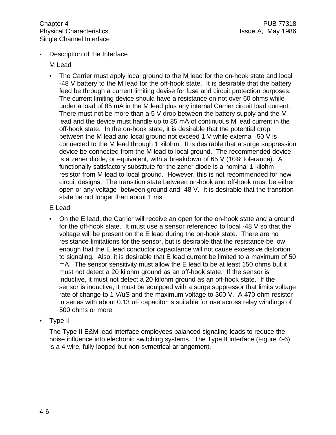Description of the Interface

M Lead

- The Carrier must apply local ground to the M lead for the on-hook state and local -48 V battery to the M lead for the off-hook state. It is desirable that the battery feed be through a current limiting devise for fuse and circuit protection purposes. The current limiting device should have a resistance on not over 60 ohms while under a load of 85 mA in the M lead plus any internal Carrier circuit load current. There must not be more than a 5 V drop between the battery supply and the M lead and the device must handle up to 85 mA of continuous M lead current in the off-hook state. In the on-hook state, it is desirable that the potential drop between the M lead and local ground not exceed 1 V while external -50 V is connected to the M lead through 1 kilohm. It is desirable that a surge suppression device be connected from the M lead to local ground. The recommended device is a zener diode, or equivalent, with a breakdown of 65 V (10% tolerance). A functionally satisfactory substitute for the zener diode is a nominal 1 kilohm resistor from M lead to local ground. However, this is not recommended for new circuit designs. The transition state between on-hook and off-hook must be either open or any voltage between ground and -48 V. It is desirable that the transition state be not longer than about 1 ms.
- E Lead
- On the E lead, the Carrier will receive an open for the on-hook state and a ground for the off-hook state. It must use a sensor referenced to local -48 V so that the voltage will be present on the E lead during the on-hook state. There are no resistance limitations for the sensor, but is desirable that the resistance be low enough that the E lead conductor capacitance will not cause excessive distortion to signaling. Also, it is desirable that E lead current be limited to a maximum of 50 mA. The sensor sensitivity must allow the E lead to be at least 150 ohms but it must not detect a 20 kilohm ground as an off-hook state. If the sensor is inductive, it must not detect a 20 kilohm ground as an off-hook state. If the sensor is inductive, it must be equipped with a surge suppressor that limits voltage rate of change to 1 V/uS and the maximum voltage to 300 V. A 470 ohm resistor in series with about 0.13 uF capacitor is suitable for use across relay windings of 500 ohms or more.
- Type II
- The Type II E&M lead interface employees balanced signaling leads to reduce the noise influence into electronic switching systems. The Type II interface (Figure 4-6) is a 4 wire, fully looped but non-symetrical arrangement.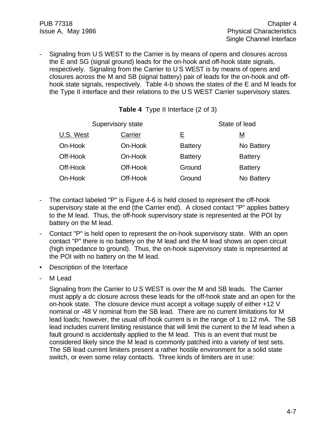Signaling from U S WEST to the Carrier is by means of opens and closures across the E and SG (signal ground) leads for the on-hook and off-hook state signals, respectively. Signaling from the Carrier to U S WEST is by means of opens and closures across the M and SB (signal battery) pair of leads for the on-hook and offhook state signals, respectively. Table 4-b shows the states of the E and M leads for the Type II interface and their relations to the U S WEST Carrier supervisory states.

# **Table 4** Type II Interface (2 of 3)

| Supervisory state |          |                | State of lead  |  |
|-------------------|----------|----------------|----------------|--|
| U.S. West         | Carrier  | ᄇ              | <u>М</u>       |  |
| On-Hook           | On-Hook  | <b>Battery</b> | No Battery     |  |
| Off-Hook          | On-Hook  | <b>Battery</b> | <b>Battery</b> |  |
| Off-Hook          | Off-Hook | Ground         | <b>Battery</b> |  |
| On-Hook           | Off-Hook | Ground         | No Battery     |  |

- The contact labeled "P" is Figure 4-6 is held closed to represent the off-hook supervisory state at the end (the Carrier end). A closed contact "P" applies battery to the M lead. Thus, the off-hook supervisory state is represented at the POI by battery on the M lead.
- Contact "P" is held open to represent the on-hook supervisory state. With an open contact "P" there is no battery on the M lead and the M lead shows an open circuit (high impedance to ground). Thus, the on-hook supervisory state is represented at the POI with no battery on the M lead.
- Description of the Interface
- M Lead

Signaling from the Carrier to U S WEST is over the M and SB leads. The Carrier must apply a dc closure across these leads for the off-hook state and an open for the on-hook state. The closure device must accept a voltage supply of either +12 V nominal or -48 V nominal from the SB lead. There are no current limitations for M lead loads; however, the usual off-hook current is in the range of 1 to 12 mA. The SB lead includes current limiting resistance that will limit the current to the M lead when a fault ground is accidentally applied to the M lead. This is an event that must be considered likely since the M lead is commonly patched into a variety of test sets. The SB lead current limiters present a rather hostile environment for a solid state switch, or even some relay contacts. Three kinds of limiters are in use: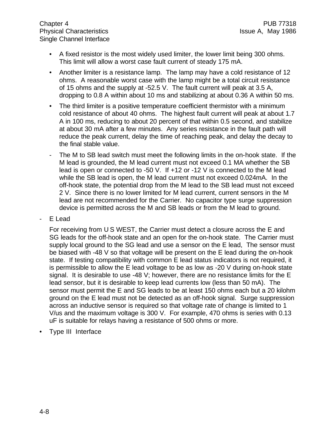Chapter 4 **PUB 77318** Physical Characteristics **Issue A, May 1986** Single Channel Interface

- A fixed resistor is the most widely used limiter, the lower limit being 300 ohms. This limit will allow a worst case fault current of steady 175 mA.
- Another limiter is a resistance lamp. The lamp may have a cold resistance of 12 ohms. A reasonable worst case with the lamp might be a total circuit resistance of 15 ohms and the supply at -52.5 V. The fault current will peak at 3.5 A, dropping to 0.8 A within about 10 ms and stabilizing at about 0.36 A within 50 ms.
- The third limiter is a positive temperature coefficient thermistor with a minimum cold resistance of about 40 ohms. The highest fault current will peak at about 1.7 A in 100 ms, reducing to about 20 percent of that within 0.5 second, and stabilize at about 30 mA after a few minutes. Any series resistance in the fault path will reduce the peak current, delay the time of reaching peak, and delay the decay to the final stable value.
- The M to SB lead switch must meet the following limits in the on-hook state. If the M lead is grounded, the M lead current must not exceed 0.1 MA whether the SB lead is open or connected to -50 V. If +12 or -12 V is connected to the M lead while the SB lead is open, the M lead current must not exceed 0.024mA. In the off-hook state, the potential drop from the M lead to the SB lead must not exceed 2 V. Since there is no lower limited for M lead current, current sensors in the M lead are not recommended for the Carrier. No capacitor type surge suppression device is permitted across the M and SB leads or from the M lead to ground.
- E Lead

For receiving from U S WEST, the Carrier must detect a closure across the E and SG leads for the off-hook state and an open for the on-hook state. The Carrier must supply local ground to the SG lead and use a sensor on the E lead, The sensor must be biased with -48 V so that voltage will be present on the E lead during the on-hook state. If testing compatibility with common E lead status indicators is not required, it is permissible to allow the E lead voltage to be as low as -20 V during on-hook state signal. It is desirable to use -48 V; however, there are no resistance limits for the E lead sensor, but it is desirable to keep lead currents low (less than 50 mA). The sensor must permit the E and SG leads to be at least 150 ohms each but a 20 kilohm ground on the E lead must not be detected as an off-hook signal. Surge suppression across an inductive sensor is required so that voltage rate of change is limited to 1 V/us and the maximum voltage is 300 V. For example, 470 ohms is series with 0.13 uF is suitable for relays having a resistance of 500 ohms or more.

• Type III Interface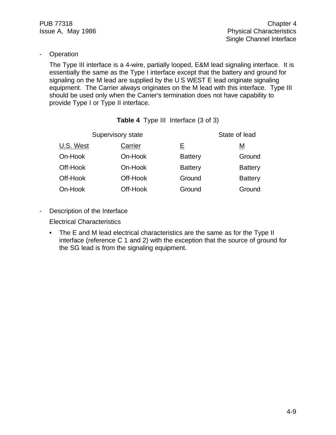# - Operation

The Type III interface is a 4-wire, partially looped, E&M lead signaling interface. It is essentially the same as the Type I interface except that the battery and ground for signaling on the M lead are supplied by the U S WEST E lead originate signaling equipment. The Carrier always originates on the M lead with this interface. Type III should be used only when the Carrier's termination does not have capability to provide Type I or Type II interface.

# **Table 4** Type III Interface (3 of 3)

|           | Supervisory state |                | State of lead  |
|-----------|-------------------|----------------|----------------|
| U.S. West | Carrier           | Е              | <u>M</u>       |
| On-Hook   | On-Hook           | <b>Battery</b> | Ground         |
| Off-Hook  | On-Hook           | <b>Battery</b> | <b>Battery</b> |
| Off-Hook  | Off-Hook          | Ground         | <b>Battery</b> |
| On-Hook   | Off-Hook          | Ground         | Ground         |

- Description of the Interface

Electrical Characteristics

• The E and M lead electrical characteristics are the same as for the Type II interface (reference C 1 and 2) with the exception that the source of ground for the SG lead is from the signaling equipment.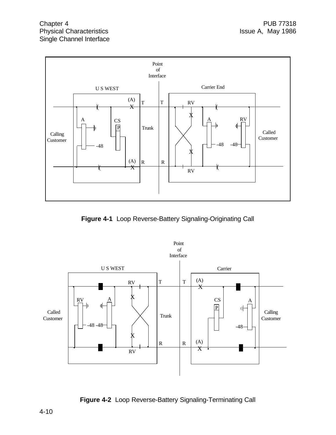

**Figure 4-1** Loop Reverse-Battery Signaling-Originating Call



**Figure 4-2** Loop Reverse-Battery Signaling-Terminating Call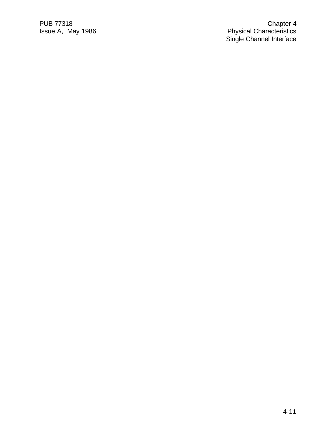PUB 77318 Chapter 4 Issue A, May 1986 **Physical Characteristics** Single Channel Interface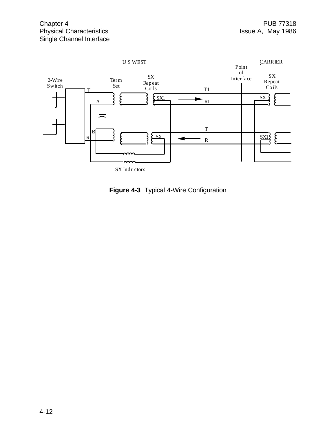

**Figure 4-3** Typical 4-Wire Configuration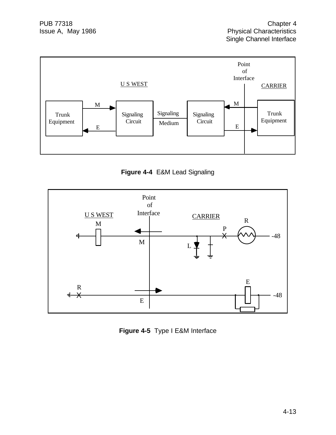

**Figure 4-4** E&M Lead Signaling



**Figure 4-5** Type I E&M Interface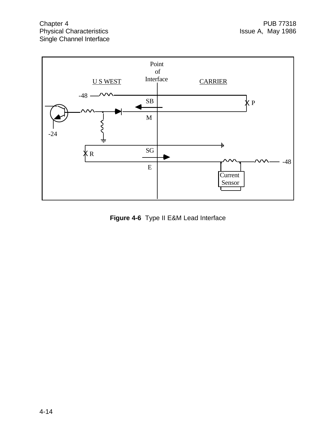

**Figure 4-6** Type II E&M Lead Interface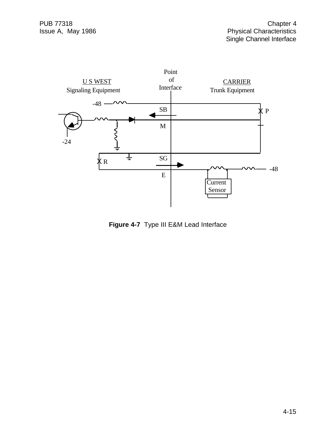

**Figure 4-7** Type III E&M Lead Interface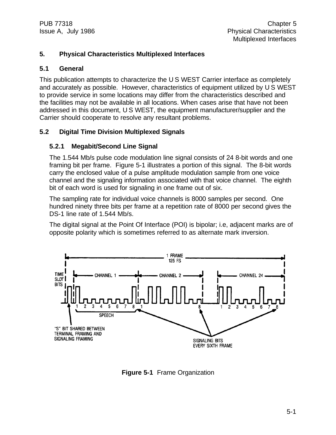## **5. Physical Characteristics Multiplexed Interfaces**

## **5.1 General**

This publication attempts to characterize the U S WEST Carrier interface as completely and accurately as possible. However, characteristics of equipment utilized by U S WEST to provide service in some locations may differ from the characteristics described and the facilities may not be available in all locations. When cases arise that have not been addressed in this document, U S WEST, the equipment manufacturer/supplier and the Carrier should cooperate to resolve any resultant problems.

## **5.2 Digital Time Division Multiplexed Signals**

## **5.2.1 Megabit/Second Line Signal**

The 1.544 Mb/s pulse code modulation line signal consists of 24 8-bit words and one framing bit per frame. Figure 5-1 illustrates a portion of this signal. The 8-bit words carry the enclosed value of a pulse amplitude modulation sample from one voice channel and the signaling information associated with that voice channel. The eighth bit of each word is used for signaling in one frame out of six.

The sampling rate for individual voice channels is 8000 samples per second. One hundred ninety three bits per frame at a repetition rate of 8000 per second gives the DS-1 line rate of 1.544 Mb/s.

The digital signal at the Point Of Interface (POI) is bipolar; i.e, adjacent marks are of opposite polarity which is sometimes referred to as alternate mark inversion.



**Figure 5-1** Frame Organization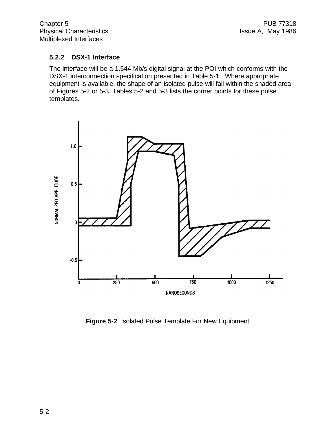## **5.2.2 DSX-1 Interface**

The interface will be a 1.544 Mb/s digital signal at the POI which conforms with the DSX-1 interconnection specification presented in Table 5-1. Where appropriate equipment is available, the shape of an isolated pulse will fall within the shaded area of Figures 5-2 or 5-3. Tables 5-2 and 5-3 lists the corner points for these pulse templates.



**Figure 5-2** Isolated Pulse Template For New Equipment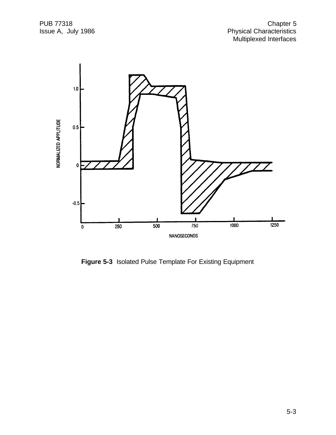

**Figure 5-3** Isolated Pulse Template For Existing Equipment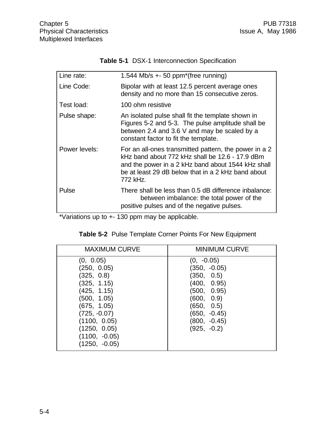| Line rate:    | 1.544 Mb/s $+$ - 50 ppm <sup>*</sup> (free running)                                                                                                                                                                              |
|---------------|----------------------------------------------------------------------------------------------------------------------------------------------------------------------------------------------------------------------------------|
| Line Code:    | Bipolar with at least 12.5 percent average ones<br>density and no more than 15 consecutive zeros.                                                                                                                                |
| Test load:    | 100 ohm resistive                                                                                                                                                                                                                |
| Pulse shape:  | An isolated pulse shall fit the template shown in<br>Figures 5-2 and 5-3. The pulse amplitude shall be<br>between 2.4 and 3.6 V and may be scaled by a<br>constant factor to fit the template.                                   |
| Power levels: | For an all-ones transmitted pattern, the power in a 2<br>kHz band about 772 kHz shall be 12.6 - 17.9 dBm<br>and the power in a 2 kHz band about 1544 kHz shall<br>be at least 29 dB below that in a 2 kHz band about<br>772 kHz. |
| Pulse         | There shall be less than 0.5 dB difference inbalance:<br>between imbalance: the total power of the<br>positive pulses and of the negative pulses.                                                                                |

|  |  | <b>Table 5-1 DSX-1 Interconnection Specification</b> |  |  |
|--|--|------------------------------------------------------|--|--|
|--|--|------------------------------------------------------|--|--|

\*Variations up to +- 130 ppm may be applicable.

| <b>MAXIMUM CURVE</b>                                                                                                                                                                   | <b>MINIMUM CURVE</b>                                                                                                                                  |
|----------------------------------------------------------------------------------------------------------------------------------------------------------------------------------------|-------------------------------------------------------------------------------------------------------------------------------------------------------|
| (0, 0.05)<br>(250, 0.05)<br>(325, 0.8)<br>(325, 1.15)<br>(425, 1.15)<br>(500, 1.05)<br>(675, 1.05)<br>(725, -0.07)<br>(1100, 0.05)<br>(1250, 0.05)<br>$(1100, -0.05)$<br>(1250, -0.05) | $(0, -0.05)$<br>(350, -0.05)<br>(350, 0.5)<br>(400, 0.95)<br>(500, 0.95)<br>(600, 0.9)<br>(650, 0.5)<br>(650, -0.45)<br>$(800, -0.45)$<br>(925, -0.2) |

|  | Table 5-2 Pulse Template Corner Points For New Equipment |  |  |
|--|----------------------------------------------------------|--|--|
|  |                                                          |  |  |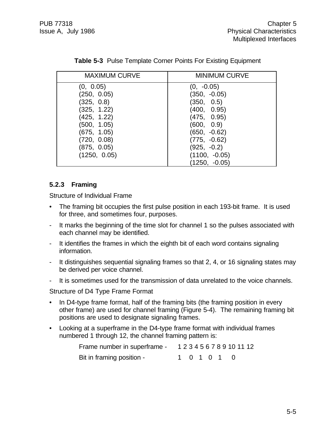| <b>MAXIMUM CURVE</b> | <b>MINIMUM CURVE</b> |
|----------------------|----------------------|
| (0, 0.05)            | $(0, -0.05)$         |
| (250, 0.05)          | $(350, -0.05)$       |
| (325, 0.8)           | (350, 0.5)           |
| (325, 1.22)          | (400, 0.95)          |
| (425, 1.22)          | (475, 0.95)          |
| (500, 1.05)          | (600, 0.9)           |
| (675, 1.05)          | $(650, -0.62)$       |
| (720, 0.08)          | $(775, -0.62)$       |
| (875, 0.05)          | $(925, -0.2)$        |
| (1250, 0.05)         | $(1100, -0.05)$      |
|                      | (1250, -0.05)        |

**Table 5-3** Pulse Template Corner Points For Existing Equipment

### **5.2.3 Framing**

Structure of Individual Frame

- The framing bit occupies the first pulse position in each 193-bit frame. It is used for three, and sometimes four, purposes.
- It marks the beginning of the time slot for channel 1 so the pulses associated with each channel may be identified.
- It identifies the frames in which the eighth bit of each word contains signaling information.
- It distinguishes sequential signaling frames so that 2, 4, or 16 signaling states may be derived per voice channel.
- It is sometimes used for the transmission of data unrelated to the voice channels.

Structure of D4 Type Frame Format

- In D4-type frame format, half of the framing bits (the framing position in every other frame) are used for channel framing (Figure 5-4). The remaining framing bit positions are used to designate signaling frames.
- Looking at a superframe in the D4-type frame format with individual frames numbered 1 through 12, the channel framing pattern is:

| Frame number in superframe - |             |  |  | 1 2 3 4 5 6 7 8 9 10 11 12 |  |
|------------------------------|-------------|--|--|----------------------------|--|
| Bit in framing position -    | 1 0 1 0 1 0 |  |  |                            |  |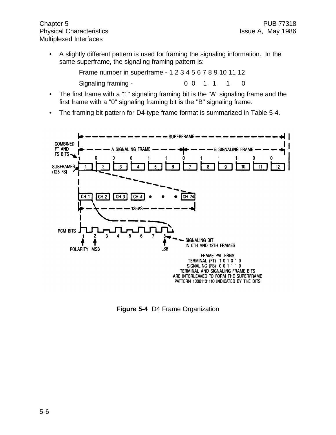• A slightly different pattern is used for framing the signaling information. In the same superframe, the signaling framing pattern is:

Frame number in superframe - 1 2 3 4 5 6 7 8 9 10 11 12

Signaling framing - 0 0 1 1 1 0

- The first frame with a "1" signaling framing bit is the "A" signaling frame and the first frame with a "0" signaling framing bit is the "B" signaling frame.
- The framing bit pattern for D4-type frame format is summarized in Table 5-4.



**Figure 5-4** D4 Frame Organization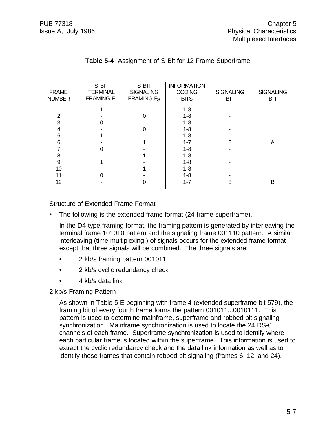| <b>FRAME</b><br><b>NUMBER</b> | S-BIT<br><b>TERMINAL</b><br>FRAMING FT | S-BIT<br><b>SIGNALING</b><br>FRAMING F <sub>S</sub> | <b>INFORMATION</b><br><b>CODING</b><br><b>BITS</b> | <b>SIGNALING</b><br><b>BIT</b> | <b>SIGNALING</b><br><b>BIT</b> |
|-------------------------------|----------------------------------------|-----------------------------------------------------|----------------------------------------------------|--------------------------------|--------------------------------|
|                               |                                        |                                                     | $1 - 8$                                            |                                |                                |
| 2                             |                                        | 0                                                   | $1 - 8$                                            |                                |                                |
| 3                             |                                        |                                                     | $1 - 8$                                            |                                |                                |
| 4                             |                                        | ი                                                   | $1 - 8$                                            |                                |                                |
| 5                             |                                        |                                                     | $1 - 8$                                            |                                |                                |
| 6                             |                                        |                                                     | $1 - 7$                                            | 8                              | A                              |
|                               |                                        |                                                     | $1 - 8$                                            |                                |                                |
| 8                             |                                        |                                                     | $1 - 8$                                            |                                |                                |
| 9                             |                                        |                                                     | $1 - 8$                                            |                                |                                |
| 10                            |                                        |                                                     | $1 - 8$                                            |                                |                                |
| 11                            |                                        |                                                     | $1 - 8$                                            |                                |                                |
| 12                            |                                        |                                                     | $1 - 7$                                            | 8                              | B                              |

## **Table 5-4** Assignment of S-Bit for 12 Frame Superframe

Structure of Extended Frame Format

- The following is the extended frame format (24-frame superframe).
- In the D4-type framing format, the framing pattern is generated by interleaving the terminal frame 101010 pattern and the signaling frame 001110 pattern. A similar interleaving (time multiplexing ) of signals occurs for the extended frame format except that three signals will be combined. The three signals are:
	- 2 kb/s framing pattern 001011
	- 2 kb/s cyclic redundancy check
	- 4 kb/s data link

2 kb/s Framing Pattern

- As shown in Table 5-E beginning with frame 4 (extended superframe bit 579), the framing bit of every fourth frame forms the pattern 001011...0010111. This pattern is used to determine mainframe, superframe and robbed bit signaling synchronization. Mainframe synchronization is used to locate the 24 DS-0 channels of each frame. Superframe synchronization is used to identify where each particular frame is located within the superframe. This information is used to extract the cyclic redundancy check and the data link information as well as to identify those frames that contain robbed bit signaling (frames 6, 12, and 24).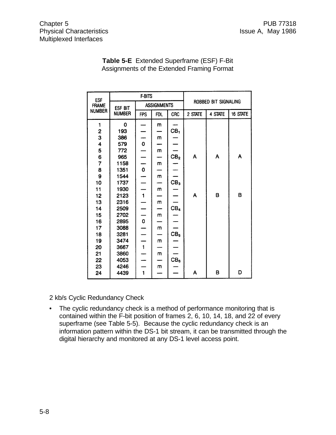| <b>ESF</b>              |               | <b>F-BITS</b>     |                    |                 |         |                      |          |
|-------------------------|---------------|-------------------|--------------------|-----------------|---------|----------------------|----------|
| <b>FRAME</b>            | ESF BIT       |                   | <b>ASSIGNMENTS</b> |                 |         | ROBBED BIT SIGNALING |          |
| <b>NUMBER</b>           | <b>NUMBER</b> | <b>FPS</b>        | <b>FDL</b>         | <b>CRC</b>      | 2 STATE | 4 STATE              | 16 STATE |
| 1                       | 0             |                   | m                  |                 |         |                      |          |
| $\overline{\mathbf{c}}$ | 193           |                   |                    | CB <sub>1</sub> |         |                      |          |
| 3                       | 386           |                   | m                  |                 |         |                      |          |
| 4                       | 579           | $\mathbf 0$       |                    |                 |         |                      |          |
| 5                       | 772           |                   | m                  |                 |         |                      |          |
| 6                       | 965           | $\frac{1}{\circ}$ |                    | CB <sub>2</sub> | A       | A                    | A        |
| $\overline{7}$          | 1158          |                   | m                  |                 |         |                      |          |
| 8                       | 1351          |                   |                    |                 |         |                      |          |
| 9                       | 1544          |                   | $\mathsf{m}$       |                 |         |                      |          |
| 10                      | 1737          | $\frac{1}{1}$     |                    | CB <sub>3</sub> |         |                      |          |
| 11                      | 1930          |                   | m                  |                 |         |                      |          |
| 12                      | 2123          |                   |                    |                 | A       | B                    | В        |
| 13                      | 2316          |                   | m                  |                 |         |                      |          |
| 14                      | 2509          |                   |                    | CB <sub>4</sub> |         |                      |          |
| 15                      | 2702          |                   | m                  |                 |         |                      |          |
| 16                      | 2895          | $\mathbf{o}$      |                    |                 |         |                      |          |
| 17                      | 3088          |                   | m                  |                 |         |                      |          |
| 18                      | 3281          |                   |                    | CB <sub>5</sub> |         |                      |          |
| 19                      | 3474          |                   | m                  |                 |         |                      |          |
| 20                      | 3667          | $\mathbf{1}$      |                    |                 |         |                      |          |
| 21                      | 3860          |                   | m                  |                 |         |                      |          |
| 22                      | 4053          |                   |                    | CB <sub>6</sub> |         |                      |          |
| 23                      | 4246          |                   | m                  |                 |         |                      |          |
| 24                      | 4439          | 1                 |                    |                 | A       | в                    | D        |

#### **Table 5-E** Extended Superframe (ESF) F-Bit Assignments of the Extended Framing Format

2 kb/s Cyclic Redundancy Check

• The cyclic redundancy check is a method of performance monitoring that is contained within the F-bit position of frames 2, 6, 10, 14, 18, and 22 of every superframe (see Table 5-5). Because the cyclic redundancy check is an information pattern within the DS-1 bit stream, it can be transmitted through the digital hierarchy and monitored at any DS-1 level access point.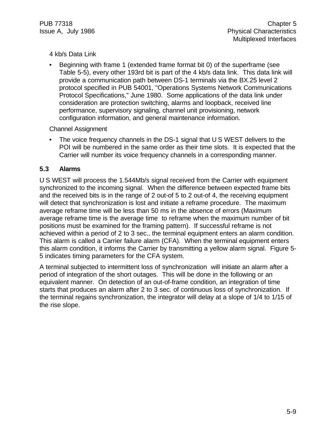#### 4 kb/s Data Link

• Beginning with frame 1 (extended frame format bit 0) of the superframe (see Table 5-5), every other 193rd bit is part of the 4 kb/s data link. This data link will provide a communication path between DS-1 terminals via the BX.25 level 2 protocol specified in PUB 54001, "Operations Systems Network Communications Protocol Specifications," June 1980. Some applications of the data link under consideration are protection switching, alarms and loopback, received line performance, supervisory signaling, channel unit provisioning, network configuration information, and general maintenance information.

#### Channel Assignment

The voice frequency channels in the DS-1 signal that U S WEST delivers to the POI will be numbered in the same order as their time slots. It is expected that the Carrier will number its voice frequency channels in a corresponding manner.

### **5.3 Alarms**

U S WEST will process the 1.544Mb/s signal received from the Carrier with equipment synchronized to the incoming signal. When the difference between expected frame bits and the received bits is in the range of 2 out-of 5 to 2 out-of 4, the receiving equipment will detect that synchronization is lost and initiate a reframe procedure. The maximum average reframe time will be less than 50 ms in the absence of errors (Maximum average reframe time is the average time to reframe when the maximum number of bit positions must be examined for the framing pattern). If successful reframe is not achieved within a period of 2 to 3 sec., the terminal equipment enters an alarm condition. This alarm is called a Carrier failure alarm (CFA). When the terminal equipment enters this alarm condition, it informs the Carrier by transmitting a yellow alarm signal. Figure 5- 5 indicates timing parameters for the CFA system.

A terminal subjected to intermittent loss of synchronization will initiate an alarm after a period of integration of the short outages. This will be done in the following or an equivalent manner. On detection of an out-of-frame condition, an integration of time starts that produces an alarm after 2 to 3 sec. of continuous loss of synchronization. If the terminal regains synchronization, the integrator will delay at a slope of 1/4 to 1/15 of the rise slope.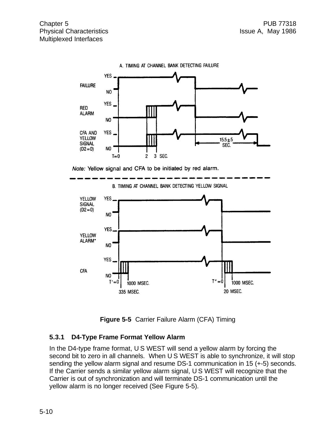

A. TIMING AT CHANNEL BANK DETECTING FAILURE

Note: Yellow signal and CFA to be initiated by red alarm.



B. TIMING AT CHANNEL BANK DETECTING YELLOW SIGNAL

**Figure 5-5** Carrier Failure Alarm (CFA) Timing

## **5.3.1 D4-Type Frame Format Yellow Alarm**

In the D4-type frame format, U S WEST will send a yellow alarm by forcing the second bit to zero in all channels. When U S WEST is able to synchronize, it will stop sending the yellow alarm signal and resume DS-1 communication in 15 (+-5) seconds. If the Carrier sends a similar yellow alarm signal, U S WEST will recognize that the Carrier is out of synchronization and will terminate DS-1 communication until the yellow alarm is no longer received (See Figure 5-5).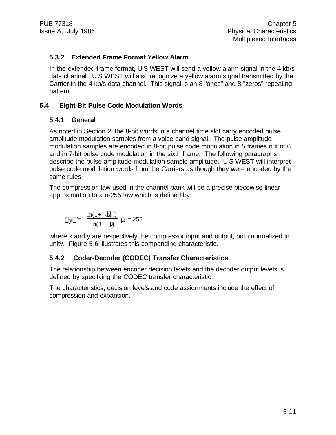## **5.3.2 Extended Frame Format Yellow Alarm**

In the extended frame format, U S WEST will send a yellow alarm signal in the 4 kb/s data channel. U S WEST will also recognize a yellow alarm signal transmitted by the Carrier in the 4 kb/s data channel. This signal is an 8 "ones" and 8 "zeros" repeating pattern.

#### **5.4 Eight-Bit Pulse Code Modulation Words**

#### **5.4.1 General**

As noted in Section 2, the 8-bit words in a channel time slot carry encoded pulse amplitude modulation samples from a voice band signal. The pulse amplitude modulation samples are encoded in 8-bit pulse code modulation in 5 frames out of 6 and in 7-bit pulse code modulation in the sixth frame. The following paragraphs describe the pulse amplitude modulation sample amplitude. U S WEST will interpret pulse code modulation words from the Carriers as though they were encoded by the same rules.

The compression law used in the channel bank will be a precise piecewise linear approximation to a u-255 law which is defined by:

$$
|y| = \frac{\ln(1 + \mu \cancel{x})}{\ln(1 + \mu)} \mu = 255
$$

where x and y are respectively the compressor input and output, both normalized to unity. Figure 5-6 illustrates this companding characteristic.

## **5.4.2 Coder-Decoder (CODEC) Transfer Characteristics**

The relationship between encoder decision levels and the decoder output levels is defined by specifying the CODEC transfer characteristic.

The characteristics, decision levels and code assignments include the effect of compression and expansion.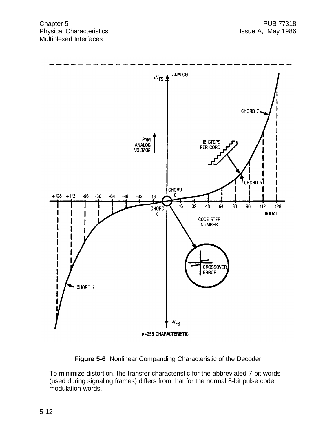

**Figure 5-6** Nonlinear Companding Characteristic of the Decoder

To minimize distortion, the transfer characteristic for the abbreviated 7-bit words (used during signaling frames) differs from that for the normal 8-bit pulse code modulation words.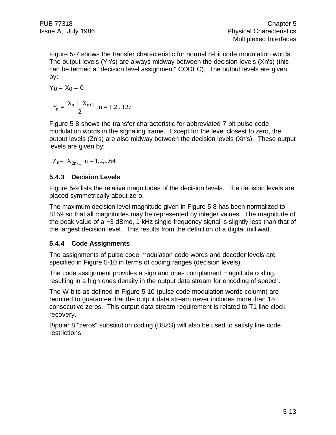Figure 5-7 shows the transfer characteristic for normal 8-bit code modulation words. The output levels (Yn's) are always midway between the decision levels (Xn's) (this can be termed a "decision level assignment" CODEC). The output levels are given by:

$$
Y_0 = X_0 = 0
$$
  

$$
Y_n = \frac{X_n + X_{n+1}}{2} \text{ ; } n = 1, 2...127
$$

Figure 5-8 shows the transfer characteristic for abbreviated 7-bit pulse code modulation words in the signaling frame. Except for the level closest to zero, the output levels (Zn's) are also midway between the decision levels (Xn's). These output levels are given by:

 $Z_n = X_{2n-1}$  n = 1,2,...64

# **5.4.3 Decision Levels**

Figure 5-9 lists the relative magnitudes of the decision levels. The decision levels are placed symmetrically about zero.

The maximum decision level magnitude given in Figure 5-8 has been normalized to 8159 so that all magnitudes may be represented by integer values. The magnitude of the peak value of a +3 dBmo, 1 kHz single-frequency signal is slightly less than that of the largest decision level. This results from the definition of a digital milliwatt.

# **5.4.4 Code Assignments**

The assignments of pulse code modulation code words and decoder levels are specified in Figure 5-10 in terms of coding ranges (decision levels).

The code assignment provides a sign and ones complement magnitude coding, resulting in a high ones density in the output data stream for encoding of speech.

The W-bits as defined in Figure 5-10 (pulse code modulation words column) are required to guarantee that the output data stream never includes more than 15 consecutive zeros. This output data stream requirement is related to T1 line clock recovery.

Bipolar 8 "zeros" substitution coding (B8ZS) will also be used to satisfy line code restrictions.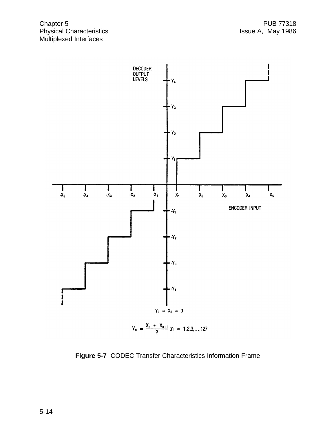

**Figure 5-7** CODEC Transfer Characteristics Information Frame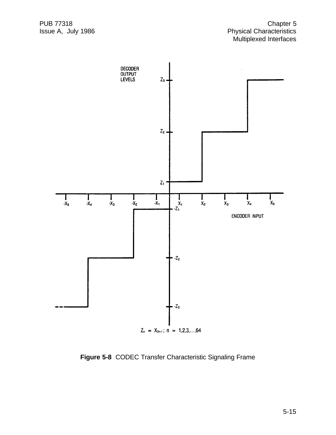

**Figure 5-8** CODEC Transfer Characteristic Signaling Frame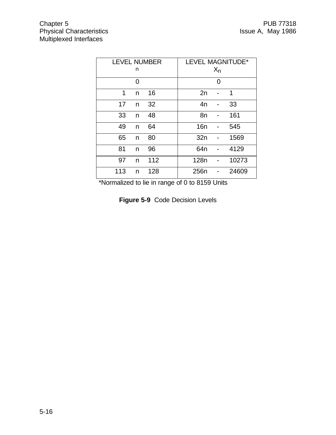| <b>LEVEL NUMBER</b> | LEVEL MAGNITUDE*          |
|---------------------|---------------------------|
| n                   | $X_n$                     |
| 0                   | 0                         |
| 1<br>16<br>n        | 2n<br>1                   |
| 17<br>32<br>n       | 33<br>4n                  |
| 33<br>48<br>n       | 161<br>8n                 |
| 49<br>64<br>n       | 16n<br>545                |
| 80<br>65<br>n       | 1569<br>32n               |
| 81<br>96<br>n       | 64 <sub>n</sub><br>4129   |
| 112<br>97<br>n      | 128 <sub>n</sub><br>10273 |
| 113<br>128<br>n     | 24609<br>256 <sub>n</sub> |

\*Normalized to lie in range of 0 to 8159 Units

| Figure 5-9 Code Decision Levels |
|---------------------------------|
|---------------------------------|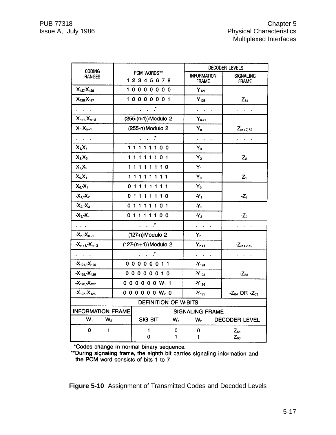| <b>CODING</b>                                               |                                                             |                              |                                                           | DECODER LEVELS       |                                                           |
|-------------------------------------------------------------|-------------------------------------------------------------|------------------------------|-----------------------------------------------------------|----------------------|-----------------------------------------------------------|
| <b>RANGES</b>                                               | PCM WORDS**<br>12345678                                     |                              | <b>INFORMATION</b><br><b>FRAME</b>                        |                      | <b>SIGNALING</b><br><b>FRAME</b>                          |
| $X_{127}X_{128}$                                            | 10000000                                                    |                              | $Y_{127}$                                                 |                      |                                                           |
| $X_{126}X_{127}$                                            | 10000001                                                    |                              | $Y_{126}$                                                 |                      | $Z_{64}$                                                  |
| $\mathcal{L}^{\mathcal{L}}$ and $\mathcal{L}^{\mathcal{L}}$ | $\mathcal{L} \times \mathcal{L}$                            |                              | $\mathcal{L}^{\text{max}}$ .                              |                      | $\mathcal{L}^{\pm}$ and $\mathcal{L}^{\pm}$               |
| $X_{n+1}X_{n+2}$                                            | (255-(n-1)) Modulo 2                                        |                              | $Y_{n+1}$                                                 |                      |                                                           |
| $X_nX_{n+1}$                                                | (255-n) Modulo 2                                            |                              | $Y_n$                                                     |                      | $Z_{(n+2)/2}$                                             |
| $\mathcal{L}^{\text{max}}$                                  | $\mathcal{L}^{\mathcal{A}}$ and $\mathcal{L}^{\mathcal{B}}$ |                              | $\mathcal{L}^{\text{max}}$ and $\mathcal{L}^{\text{max}}$ |                      | $\epsilon = 1/\sqrt{2}$                                   |
| $X_3X_4$                                                    | 11111100                                                    |                              | $Y_3$                                                     |                      |                                                           |
| $X_2X_3$                                                    | 11111101                                                    |                              | $Y_2$                                                     |                      | $Z_{2}$                                                   |
| $X_1X_2$                                                    | 11111110                                                    |                              | $Y_1$                                                     |                      |                                                           |
| $X_0X_1$                                                    | 11111111                                                    |                              | $Y_0$                                                     |                      | $Z_1$                                                     |
| $X_0 - X_1$                                                 | 01111111                                                    |                              | $Y_0$                                                     |                      |                                                           |
| $-X_1-X_2$                                                  | 01111110                                                    |                              | $Y_{1}$                                                   |                      | $-Z1$                                                     |
| $-X2-X3$                                                    | 01111101                                                    |                              | $-Y2$                                                     |                      |                                                           |
| $-X_3-X_4$                                                  | 01111100                                                    |                              | $-Y_3$                                                    |                      | $-Z2$                                                     |
| $\mathcal{L}(\mathcal{L}^{\mathcal{L}}(\mathcal{L}))$       | $\mathcal{L}$ . $\mathcal{L}$                               |                              | $\overline{1}$ , $\overline{1}$ , $\overline{1}$          |                      | $\overline{1}$ , $\overline{1}$ , $\overline{1}$          |
| $-X_n-X_{n+1}$                                              | (127-n) Modulo 2                                            |                              | $Y_n$                                                     |                      |                                                           |
| $-X_{n+1}$ $-X_{n+2}$                                       | $(127-(n+1))$ Modulo 2                                      |                              | $Y_{n+1}$                                                 |                      | $-Z_{(n+2)/2}$                                            |
| $\epsilon = 1/2$                                            | $\mathcal{L}^{\mathcal{A}}$ , $\mathcal{L}^{\mathcal{A}}$ , |                              | $\hat{z}$ , $\hat{z}$ , $\hat{z}$                         |                      | $\mathcal{L}^{\pm}$ , $\mathcal{L}^{\pm}$ , $\mathcal{L}$ |
| $-X_{124}-X_{125}$                                          | 00000011                                                    |                              | $-Y_{124}$                                                |                      |                                                           |
| $-X_{125} - X_{126}$                                        | 00000010                                                    |                              | $-Y_{125}$                                                |                      | $-Z_{63}$                                                 |
| $-X_{126} - X_{127}$                                        | $000000W_11$                                                |                              | $-Y_{126}$                                                |                      |                                                           |
| $-X_{127} - X_{128}$                                        | $0 0 0 0 0 0 W_2 0$                                         |                              | $-Y_{125}$                                                |                      | $-Z_{64}$ OR $-Z_{63}$                                    |
|                                                             | <b>DEFINITION OF W-BITS</b>                                 |                              |                                                           |                      |                                                           |
| <b>INFORMATION FRAME</b>                                    |                                                             |                              | <b>SIGNALING FRAME</b>                                    |                      |                                                           |
| $W_2$<br>$W_1$                                              |                                                             |                              | SIG BIT W <sub>1</sub> W <sub>2</sub> DECODER LEVEL       |                      |                                                           |
| $\overline{0}$<br>$\mathbf{1}$                              | $\mathbf 1$<br>0                                            | $\mathbf{0}$<br>$\mathbf{1}$ | $\mathbf{0}$<br>1.                                        | $Z_{64}$<br>$Z_{63}$ |                                                           |

\*Codes change in normal binary sequence.

\*\*During signaling frame, the eighth bit carries signaling information and the PCM word consists of bits 1 to 7.

**Figure 5-10** Assignment of Transmitted Codes and Decoded Levels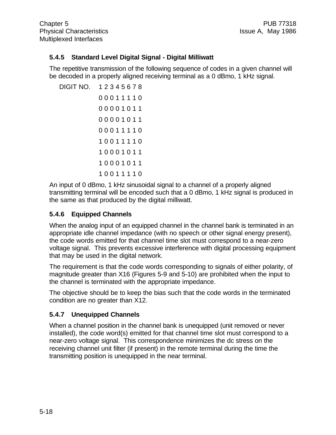### **5.4.5 Standard Level Digital Signal - Digital Milliwatt**

The repetitive transmission of the following sequence of codes in a given channel will be decoded in a properly aligned receiving terminal as a 0 dBmo, 1 kHz signal.

```
DIGIT NO. 1 2 3 4 5 6 7 8
             0 0 0 1 1 1 1 0
             0 0 0 0 1 0 1 1
             0 0 0 0 1 0 1 1
             0 0 0 1 1 1 1 0
             1 0 0 1 1 1 1 0
             1 0 0 0 1 0 1 1
             1 0 0 0 1 0 1 1
             1 0 0 1 1 1 1 0
```
An input of 0 dBmo, 1 kHz sinusoidal signal to a channel of a properly aligned transmitting terminal will be encoded such that a 0 dBmo, 1 kHz signal is produced in the same as that produced by the digital milliwatt.

### **5.4.6 Equipped Channels**

When the analog input of an equipped channel in the channel bank is terminated in an appropriate idle channel impedance (with no speech or other signal energy present), the code words emitted for that channel time slot must correspond to a near-zero voltage signal. This prevents excessive interference with digital processing equipment that may be used in the digital network.

The requirement is that the code words corresponding to signals of either polarity, of magnitude greater than X16 (Figures 5-9 and 5-10) are prohibited when the input to the channel is terminated with the appropriate impedance.

The objective should be to keep the bias such that the code words in the terminated condition are no greater than X12.

#### **5.4.7 Unequipped Channels**

When a channel position in the channel bank is unequipped (unit removed or never installed), the code word(s) emitted for that channel time slot must correspond to a near-zero voltage signal. This correspondence minimizes the dc stress on the receiving channel unit filter (if present) in the remote terminal during the time the transmitting position is unequipped in the near terminal.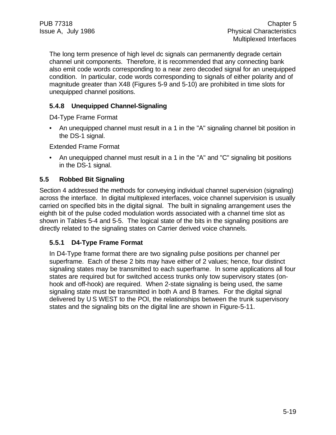The long term presence of high level dc signals can permanently degrade certain channel unit components. Therefore, it is recommended that any connecting bank also emit code words corresponding to a near zero decoded signal for an unequipped condition. In particular, code words corresponding to signals of either polarity and of magnitude greater than X48 (Figures 5-9 and 5-10) are prohibited in time slots for unequipped channel positions.

## **5.4.8 Unequipped Channel-Signaling**

D4-Type Frame Format

• An unequipped channel must result in a 1 in the "A" signaling channel bit position in the DS-1 signal.

Extended Frame Format

• An unequipped channel must result in a 1 in the "A" and "C" signaling bit positions in the DS-1 signal.

## **5.5 Robbed Bit Signaling**

Section 4 addressed the methods for conveying individual channel supervision (signaling) across the interface. In digital multiplexed interfaces, voice channel supervision is usually carried on specified bits in the digital signal. The built in signaling arrangement uses the eighth bit of the pulse coded modulation words associated with a channel time slot as shown in Tables 5-4 and 5-5. The logical state of the bits in the signaling positions are directly related to the signaling states on Carrier derived voice channels.

## **5.5.1 D4-Type Frame Format**

In D4-Type frame format there are two signaling pulse positions per channel per superframe. Each of these 2 bits may have either of 2 values; hence, four distinct signaling states may be transmitted to each superframe. In some applications all four states are required but for switched access trunks only tow supervisory states (onhook and off-hook) are required. When 2-state signaling is being used, the same signaling state must be transmitted in both A and B frames. For the digital signal delivered by U S WEST to the POI, the relationships between the trunk supervisory states and the signaling bits on the digital line are shown in Figure-5-11.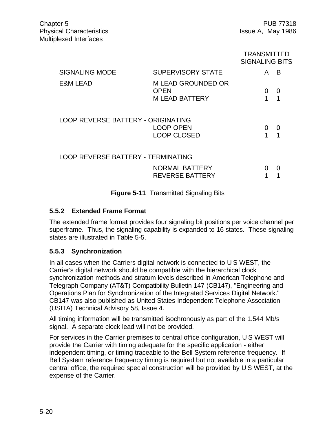#### **TRANSMITTED** SIGNALING BITS

| <b>SIGNALING MODE</b>              | <b>SUPERVISORY STATE</b>                                  | А      | B             |
|------------------------------------|-----------------------------------------------------------|--------|---------------|
| <b>E&amp;M LEAD</b>                | M LEAD GROUNDED OR<br><b>OPEN</b><br><b>MLEAD BATTERY</b> | 0<br>1 | $\Omega$<br>1 |
| LOOP REVERSE BATTERY - ORIGINATING | <b>LOOP OPEN</b><br><b>LOOP CLOSED</b>                    | 1      | 1             |
| LOOP REVERSE BATTERY - TERMINATING |                                                           |        |               |
|                                    | <b>NORMAL BATTERY</b><br><b>REVERSE BATTERY</b>           | 4      | 1             |

**Figure 5-11** Transmitted Signaling Bits

### **5.5.2 Extended Frame Format**

The extended frame format provides four signaling bit positions per voice channel per superframe. Thus, the signaling capability is expanded to 16 states. These signaling states are illustrated in Table 5-5.

#### **5.5.3 Synchronization**

In all cases when the Carriers digital network is connected to U S WEST, the Carrier's digital network should be compatible with the hierarchical clock synchronization methods and stratum levels described in American Telephone and Telegraph Company (AT&T) Compatibility Bulletin 147 (CB147), "Engineering and Operations Plan for Synchronization of the Integrated Services Digital Network." CB147 was also published as United States Independent Telephone Association (USITA) Technical Advisory 58, Issue 4.

All timing information will be transmitted isochronously as part of the 1.544 Mb/s signal. A separate clock lead will not be provided.

For services in the Carrier premises to central office configuration, U S WEST will provide the Carrier with timing adequate for the specific application - either independent timing, or timing traceable to the Bell System reference frequency. If Bell System reference frequency timing is required but not available in a particular central office, the required special construction will be provided by U S WEST, at the expense of the Carrier.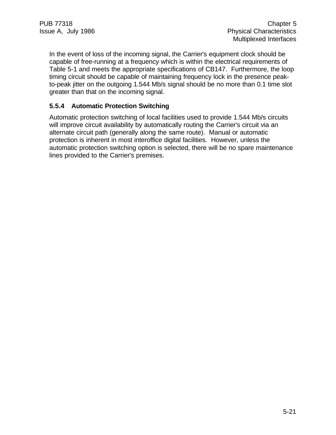In the event of loss of the incoming signal, the Carrier's equipment clock should be capable of free-running at a frequency which is within the electrical requirements of Table 5-1 and meets the appropriate specifications of CB147. Furthermore, the loop timing circuit should be capable of maintaining frequency lock in the presence peakto-peak jitter on the outgoing 1.544 Mb/s signal should be no more than 0.1 time slot greater than that on the incoming signal.

## **5.5.4 Automatic Protection Switching**

Automatic protection switching of local facilities used to provide 1.544 Mb/s circuits will improve circuit availability by automatically routing the Carrier's circuit via an alternate circuit path (generally along the same route). Manual or automatic protection is inherent in most interoffice digital facilities. However, unless the automatic protection switching option is selected, there will be no spare maintenance lines provided to the Carrier's premises.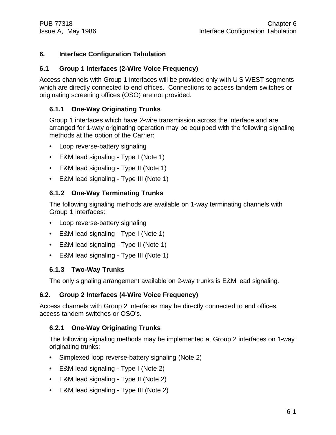### **6. Interface Configuration Tabulation**

#### **6.1 Group 1 Interfaces (2-Wire Voice Frequency)**

Access channels with Group 1 interfaces will be provided only with U S WEST segments which are directly connected to end offices. Connections to access tandem switches or originating screening offices (OSO) are not provided.

### **6.1.1 One-Way Originating Trunks**

Group 1 interfaces which have 2-wire transmission across the interface and are arranged for 1-way originating operation may be equipped with the following signaling methods at the option of the Carrier:

- Loop reverse-battery signaling
- E&M lead signaling Type I (Note 1)
- E&M lead signaling Type II (Note 1)
- E&M lead signaling Type III (Note 1)

### **6.1.2 One-Way Terminating Trunks**

The following signaling methods are available on 1-way terminating channels with Group 1 interfaces:

- Loop reverse-battery signaling
- E&M lead signaling Type I (Note 1)
- E&M lead signaling Type II (Note 1)
- E&M lead signaling Type III (Note 1)

#### **6.1.3 Two-Way Trunks**

The only signaling arrangement available on 2-way trunks is E&M lead signaling.

#### **6.2. Group 2 Interfaces (4-Wire Voice Frequency)**

Access channels with Group 2 interfaces may be directly connected to end offices, access tandem switches or OSO's.

## **6.2.1 One-Way Originating Trunks**

The following signaling methods may be implemented at Group 2 interfaces on 1-way originating trunks:

- Simplexed loop reverse-battery signaling (Note 2)
- E&M lead signaling Type I (Note 2)
- E&M lead signaling Type II (Note 2)
- E&M lead signaling Type III (Note 2)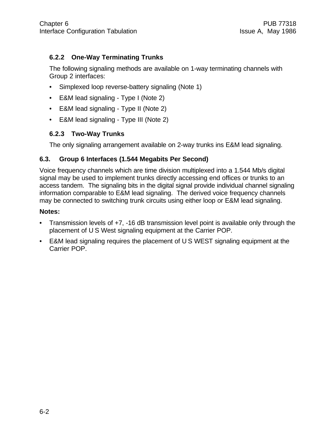## **6.2.2 One-Way Terminating Trunks**

The following signaling methods are available on 1-way terminating channels with Group 2 interfaces:

- Simplexed loop reverse-battery signaling (Note 1)
- E&M lead signaling Type I (Note 2)
- E&M lead signaling Type II (Note 2)
- E&M lead signaling Type III (Note 2)

## **6.2.3 Two-Way Trunks**

The only signaling arrangement available on 2-way trunks ins E&M lead signaling.

## **6.3. Group 6 Interfaces (1.544 Megabits Per Second)**

Voice frequency channels which are time division multiplexed into a 1.544 Mb/s digital signal may be used to implement trunks directly accessing end offices or trunks to an access tandem. The signaling bits in the digital signal provide individual channel signaling information comparable to E&M lead signaling. The derived voice frequency channels may be connected to switching trunk circuits using either loop or E&M lead signaling.

## **Notes:**

- Transmission levels of +7, -16 dB transmission level point is available only through the placement of U S West signaling equipment at the Carrier POP.
- E&M lead signaling requires the placement of U S WEST signaling equipment at the Carrier POP.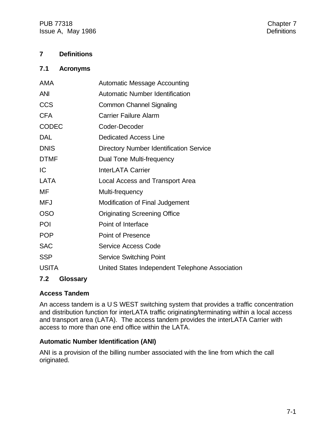PUB 77318 Chapter 7 Issue A, May 1986 **Definitions** 

### **7 Definitions**

#### **7.1 Acronyms**

| AMA          | <b>Automatic Message Accounting</b>             |
|--------------|-------------------------------------------------|
| <b>ANI</b>   | <b>Automatic Number Identification</b>          |
| <b>CCS</b>   | <b>Common Channel Signaling</b>                 |
| <b>CFA</b>   | <b>Carrier Failure Alarm</b>                    |
| <b>CODEC</b> | Coder-Decoder                                   |
| <b>DAL</b>   | <b>Dedicated Access Line</b>                    |
| <b>DNIS</b>  | <b>Directory Number Identification Service</b>  |
| <b>DTMF</b>  | Dual Tone Multi-frequency                       |
| IC           | <b>InterLATA Carrier</b>                        |
| LATA         | Local Access and Transport Area                 |
| МF           | Multi-frequency                                 |
| <b>MFJ</b>   | Modification of Final Judgement                 |
| <b>OSO</b>   | <b>Originating Screening Office</b>             |
| POI          | Point of Interface                              |
| <b>POP</b>   | Point of Presence                               |
| <b>SAC</b>   | Service Access Code                             |
| <b>SSP</b>   | <b>Service Switching Point</b>                  |
| <b>USITA</b> | United States Independent Telephone Association |
|              |                                                 |

#### **7.2 Glossary**

#### **Access Tandem**

An access tandem is a U S WEST switching system that provides a traffic concentration and distribution function for interLATA traffic originating/terminating within a local access and transport area (LATA). The access tandem provides the interLATA Carrier with access to more than one end office within the LATA.

#### **Automatic Number Identification (ANI)**

ANI is a provision of the billing number associated with the line from which the call originated.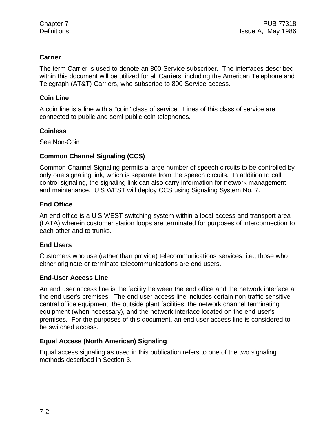### **Carrier**

The term Carrier is used to denote an 800 Service subscriber. The interfaces described within this document will be utilized for all Carriers, including the American Telephone and Telegraph (AT&T) Carriers, who subscribe to 800 Service access.

### **Coin Line**

A coin line is a line with a "coin" class of service. Lines of this class of service are connected to public and semi-public coin telephones.

### **Coinless**

See Non-Coin

## **Common Channel Signaling (CCS)**

Common Channel Signaling permits a large number of speech circuits to be controlled by only one signaling link, which is separate from the speech circuits. In addition to call control signaling, the signaling link can also carry information for network management and maintenance. U S WEST will deploy CCS using Signaling System No. 7.

## **End Office**

An end office is a U S WEST switching system within a local access and transport area (LATA) wherein customer station loops are terminated for purposes of interconnection to each other and to trunks.

## **End Users**

Customers who use (rather than provide) telecommunications services, i.e., those who either originate or terminate telecommunications are end users.

## **End-User Access Line**

An end user access line is the facility between the end office and the network interface at the end-user's premises. The end-user access line includes certain non-traffic sensitive central office equipment, the outside plant facilities, the network channel terminating equipment (when necessary), and the network interface located on the end-user's premises. For the purposes of this document, an end user access line is considered to be switched access.

## **Equal Access (North American) Signaling**

Equal access signaling as used in this publication refers to one of the two signaling methods described in Section 3.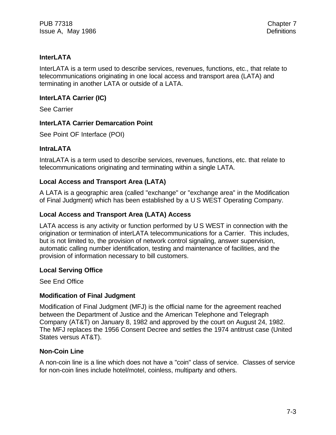## **InterLATA**

InterLATA is a term used to describe services, revenues, functions, etc., that relate to telecommunications originating in one local access and transport area (LATA) and terminating in another LATA or outside of a LATA.

## **InterLATA Carrier (IC)**

See Carrier

## **InterLATA Carrier Demarcation Point**

See Point OF Interface (POI)

## **IntraLATA**

IntraLATA is a term used to describe services, revenues, functions, etc. that relate to telecommunications originating and terminating within a single LATA.

## **Local Access and Transport Area (LATA)**

A LATA is a geographic area (called "exchange" or "exchange area" in the Modification of Final Judgment) which has been established by a U S WEST Operating Company.

## **Local Access and Transport Area (LATA) Access**

LATA access is any activity or function performed by U S WEST in connection with the origination or termination of interLATA telecommunications for a Carrier. This includes, but is not limited to, the provision of network control signaling, answer supervision, automatic calling number identification, testing and maintenance of facilities, and the provision of information necessary to bill customers.

## **Local Serving Office**

See End Office

## **Modification of Final Judgment**

Modification of Final Judgment (MFJ) is the official name for the agreement reached between the Department of Justice and the American Telephone and Telegraph Company (AT&T) on January 8, 1982 and approved by the court on August 24, 1982. The MFJ replaces the 1956 Consent Decree and settles the 1974 antitrust case (United States versus AT&T).

## **Non-Coin Line**

A non-coin line is a line which does not have a "coin" class of service. Classes of service for non-coin lines include hotel/motel, coinless, multiparty and others.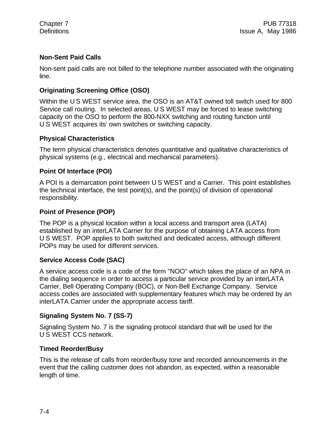## **Non-Sent Paid Calls**

Non-sent paid calls are not billed to the telephone number associated with the originating line.

# **Originating Screening Office (OSO)**

Within the U S WEST service area, the OSO is an AT&T owned toll switch used for 800 Service call routing. In selected areas, U S WEST may be forced to lease switching capacity on the OSO to perform the 800-NXX switching and routing function until U S WEST acquires its' own switches or switching capacity.

## **Physical Characteristics**

The term physical characteristics denotes quantitative and qualitative characteristics of physical systems (e.g., electrical and mechanical parameters).

## **Point Of Interface (POI)**

A POI is a demarcation point between U S WEST and a Carrier. This point establishes the technical interface, the test point(s), and the point(s) of division of operational responsibility.

## **Point of Presence (POP)**

The POP is a physical location within a local access and transport area (LATA) established by an interLATA Carrier for the purpose of obtaining LATA access from U S WEST. POP applies to both switched and dedicated access, although different POPs may be used for different services.

# **Service Access Code (SAC)**

A service access code is a code of the form "NOO" which takes the place of an NPA in the dialing sequence in order to access a particular service provided by an interLATA Carrier, Bell Operating Company (BOC), or Non-Bell Exchange Company. Service access codes are associated with supplementary features which may be ordered by an interLATA Carrier under the appropriate access tariff.

# **Signaling System No. 7 (SS-7)**

Signaling System No. 7 is the signaling protocol standard that will be used for the U S WEST CCS network.

## **Timed Reorder/Busy**

This is the release of calls from reorder/busy tone and recorded announcements in the event that the calling customer does not abandon, as expected, within a reasonable length of time.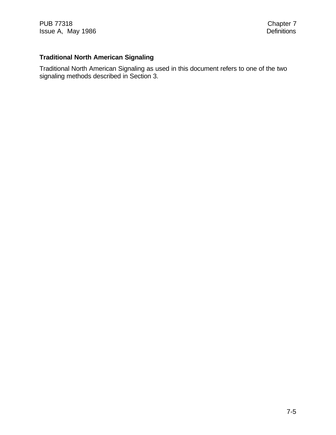PUB 77318 Chapter 7<br>
Issue A, May 1986 Issue A, May 1986

### **Traditional North American Signaling**

Traditional North American Signaling as used in this document refers to one of the two signaling methods described in Section 3.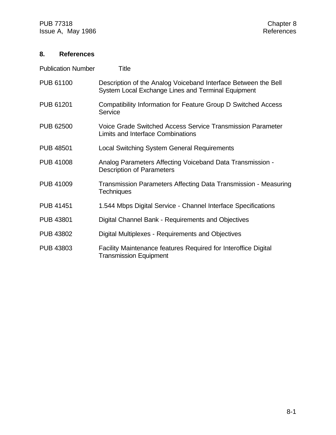PUB 77318 Chapter 8<br>
Issue A, May 1986 Chapter 8 Issue A, May 1986

# **8. References**

| <b>Publication Number</b> | Title                                                                                                                |
|---------------------------|----------------------------------------------------------------------------------------------------------------------|
| PUB 61100                 | Description of the Analog Voiceband Interface Between the Bell<br>System Local Exchange Lines and Terminal Equipment |
| PUB 61201                 | Compatibility Information for Feature Group D Switched Access<br>Service                                             |
| <b>PUB 62500</b>          | Voice Grade Switched Access Service Transmission Parameter<br><b>Limits and Interface Combinations</b>               |
| <b>PUB 48501</b>          | <b>Local Switching System General Requirements</b>                                                                   |
| <b>PUB 41008</b>          | Analog Parameters Affecting Voiceband Data Transmission -<br><b>Description of Parameters</b>                        |
| PUB 41009                 | Transmission Parameters Affecting Data Transmission - Measuring<br><b>Techniques</b>                                 |
| <b>PUB 41451</b>          | 1.544 Mbps Digital Service - Channel Interface Specifications                                                        |
| <b>PUB 43801</b>          | Digital Channel Bank - Requirements and Objectives                                                                   |
| PUB 43802                 | Digital Multiplexes - Requirements and Objectives                                                                    |
| PUB 43803                 | Facility Maintenance features Required for Interoffice Digital<br><b>Transmission Equipment</b>                      |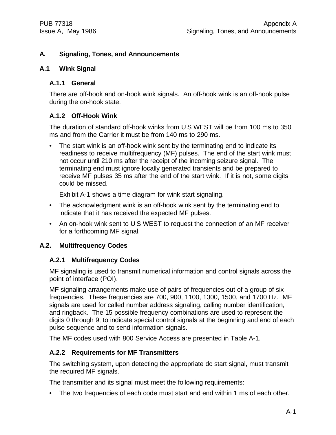## **A. Signaling, Tones, and Announcements**

### **A.1 Wink Signal**

### **A.1.1 General**

There are off-hook and on-hook wink signals. An off-hook wink is an off-hook pulse during the on-hook state.

## **A.1.2 Off-Hook Wink**

The duration of standard off-hook winks from U S WEST will be from 100 ms to 350 ms and from the Carrier it must be from 140 ms to 290 ms.

• The start wink is an off-hook wink sent by the terminating end to indicate its readiness to receive multifrequency (MF) pulses. The end of the start wink must not occur until 210 ms after the receipt of the incoming seizure signal. The terminating end must ignore locally generated transients and be prepared to receive MF pulses 35 ms after the end of the start wink. If it is not, some digits could be missed.

Exhibit A-1 shows a time diagram for wink start signaling.

- The acknowledgment wink is an off-hook wink sent by the terminating end to indicate that it has received the expected MF pulses.
- An on-hook wink sent to U S WEST to request the connection of an MF receiver for a forthcoming MF signal.

## **A.2. Multifrequency Codes**

## **A.2.1 Multifrequency Codes**

MF signaling is used to transmit numerical information and control signals across the point of interface (POI).

MF signaling arrangements make use of pairs of frequencies out of a group of six frequencies. These frequencies are 700, 900, 1100, 1300, 1500, and 1700 Hz. MF signals are used for called number address signaling, calling number identification, and ringback. The 15 possible frequency combinations are used to represent the digits 0 through 9, to indicate special control signals at the beginning and end of each pulse sequence and to send information signals.

The MF codes used with 800 Service Access are presented in Table A-1.

# **A.2.2 Requirements for MF Transmitters**

The switching system, upon detecting the appropriate dc start signal, must transmit the required MF signals.

The transmitter and its signal must meet the following requirements:

• The two frequencies of each code must start and end within 1 ms of each other.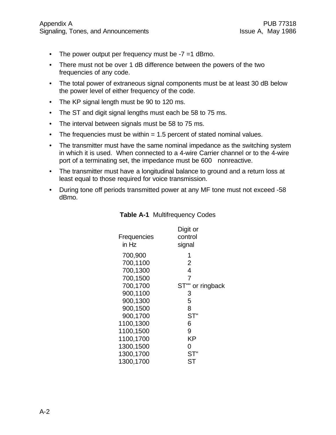- The power output per frequency must be -7 =1 dBmo.
- There must not be over 1 dB difference between the powers of the two frequencies of any code.
- The total power of extraneous signal components must be at least 30 dB below the power level of either frequency of the code.
- The KP signal length must be 90 to 120 ms.
- The ST and digit signal lengths must each be 58 to 75 ms.
- The interval between signals must be 58 to 75 ms.
- The frequencies must be within  $= 1.5$  percent of stated nominal values.
- The transmitter must have the same nominal impedance as the switching system in which it is used. When connected to a 4-wire Carrier channel or to the 4-wire port of a terminating set, the impedance must be 600 nonreactive.
- The transmitter must have a longitudinal balance to ground and a return loss at least equal to those required for voice transmission.
- During tone off periods transmitted power at any MF tone must not exceed -58 dBmo.

|             | Digit or            |
|-------------|---------------------|
| Frequencies | control             |
| in Hz       | signal              |
| 700,900     | 1                   |
| 700,1100    | 2                   |
| 700,1300    | 4                   |
| 700,1500    | 7                   |
| 700,1700    | or ringback<br>ST"" |
| 900,1100    | 3                   |
| 900,1300    | 5                   |
| 900,1500    | 8                   |
| 900,1700    | ST"                 |
| 1100,1300   | 6                   |
| 1100,1500   | 9                   |
| 1100,1700   | ΚP                  |
| 1300,1500   | O                   |
| 1300,1700   | ST"                 |
| 1300,1700   | SТ                  |

#### **Table A-1** Multifrequency Codes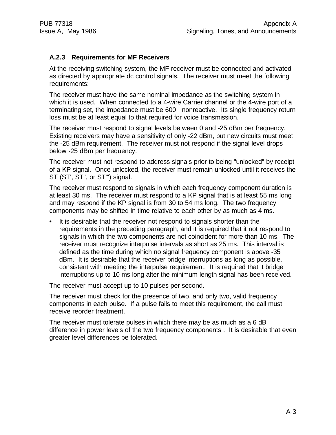## **A.2.3 Requirements for MF Receivers**

At the receiving switching system, the MF receiver must be connected and activated as directed by appropriate dc control signals. The receiver must meet the following requirements:

The receiver must have the same nominal impedance as the switching system in which it is used. When connected to a 4-wire Carrier channel or the 4-wire port of a terminating set, the impedance must be 600 nonreactive. Its single frequency return loss must be at least equal to that required for voice transmission.

The receiver must respond to signal levels between 0 and -25 dBm per frequency. Existing receivers may have a sensitivity of only -22 dBm, but new circuits must meet the -25 dBm requirement. The receiver must not respond if the signal level drops below -25 dBm per frequency.

The receiver must not respond to address signals prior to being "unlocked" by receipt of a KP signal. Once unlocked, the receiver must remain unlocked until it receives the ST (ST', ST", or ST'") signal.

The receiver must respond to signals in which each frequency component duration is at least 30 ms. The receiver must respond to a KP signal that is at least 55 ms long and may respond if the KP signal is from 30 to 54 ms long. The two frequency components may be shifted in time relative to each other by as much as 4 ms.

It is desirable that the receiver not respond to signals shorter than the requirements in the preceding paragraph, and it is required that it not respond to signals in which the two components are not coincident for more than 10 ms. The receiver must recognize interpulse intervals as short as 25 ms. This interval is defined as the time during which no signal frequency component is above -35 dBm. It is desirable that the receiver bridge interruptions as long as possible, consistent with meeting the interpulse requirement. It is required that it bridge interruptions up to 10 ms long after the minimum length signal has been received.

The receiver must accept up to 10 pulses per second.

The receiver must check for the presence of two, and only two, valid frequency components in each pulse. If a pulse fails to meet this requirement, the call must receive reorder treatment.

The receiver must tolerate pulses in which there may be as much as a 6 dB difference in power levels of the two frequency components . It is desirable that even greater level differences be tolerated.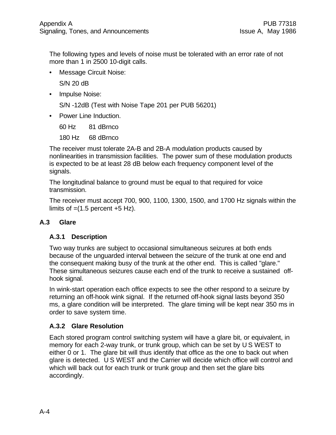The following types and levels of noise must be tolerated with an error rate of not more than 1 in 2500 10-digit calls.

• Message Circuit Noise:

S/N 20 dB

• Impulse Noise:

S/N -12dB (Test with Noise Tape 201 per PUB 56201)

• Power Line Induction.

60 Hz 81 dBrnco

180 Hz 68 dBrnco

The receiver must tolerate 2A-B and 2B-A modulation products caused by nonlinearities in transmission facilities. The power sum of these modulation products is expected to be at least 28 dB below each frequency component level of the signals.

The longitudinal balance to ground must be equal to that required for voice transmission.

The receiver must accept 700, 900, 1100, 1300, 1500, and 1700 Hz signals within the limits of  $=(1.5 \text{ percent } +5 \text{ Hz}).$ 

## **A.3 Glare**

## **A.3.1 Description**

Two way trunks are subject to occasional simultaneous seizures at both ends because of the unguarded interval between the seizure of the trunk at one end and the consequent making busy of the trunk at the other end. This is called "glare." These simultaneous seizures cause each end of the trunk to receive a sustained offhook signal.

In wink-start operation each office expects to see the other respond to a seizure by returning an off-hook wink signal. If the returned off-hook signal lasts beyond 350 ms, a glare condition will be interpreted. The glare timing will be kept near 350 ms in order to save system time.

## **A.3.2 Glare Resolution**

Each stored program control switching system will have a glare bit, or equivalent, in memory for each 2-way trunk, or trunk group, which can be set by U S WEST to either 0 or 1. The glare bit will thus identify that office as the one to back out when glare is detected. U S WEST and the Carrier will decide which office will control and which will back out for each trunk or trunk group and then set the glare bits accordingly.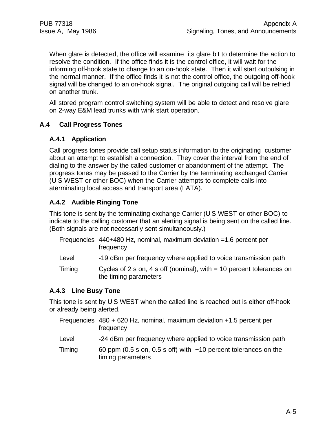When glare is detected, the office will examine its glare bit to determine the action to resolve the condition. If the office finds it is the control office, it will wait for the informing off-hook state to change to an on-hook state. Then it will start outpulsing in the normal manner. If the office finds it is not the control office, the outgoing off-hook signal will be changed to an on-hook signal. The original outgoing call will be retried on another trunk.

All stored program control switching system will be able to detect and resolve glare on 2-way E&M lead trunks with wink start operation.

# **A.4 Call Progress Tones**

## **A.4.1 Application**

Call progress tones provide call setup status information to the originating customer about an attempt to establish a connection. They cover the interval from the end of dialing to the answer by the called customer or abandonment of the attempt. The progress tones may be passed to the Carrier by the terminating exchanged Carrier (U S WEST or other BOC) when the Carrier attempts to complete calls into aterminating local access and transport area (LATA).

# **A.4.2 Audible Ringing Tone**

This tone is sent by the terminating exchange Carrier (U S WEST or other BOC) to indicate to the calling customer that an alerting signal is being sent on the called line. (Both signals are not necessarily sent simultaneously.)

|        | Frequencies 440+480 Hz, nominal, maximum deviation =1.6 percent per<br>frequency                |
|--------|-------------------------------------------------------------------------------------------------|
| Level  | -19 dBm per frequency where applied to voice transmission path                                  |
| Timing | Cycles of 2 s on, 4 s off (nominal), with $=$ 10 percent tolerances on<br>the timing parameters |

## **A.4.3 Line Busy Tone**

This tone is sent by U S WEST when the called line is reached but is either off-hook or already being alerted.

|        | Frequencies $480 + 620$ Hz, nominal, maximum deviation $+1.5$ percent per<br>frequency |
|--------|----------------------------------------------------------------------------------------|
| Level  | -24 dBm per frequency where applied to voice transmission path                         |
| Timing | 60 ppm (0.5 s on, 0.5 s off) with $+10$ percent tolerances on the<br>timing parameters |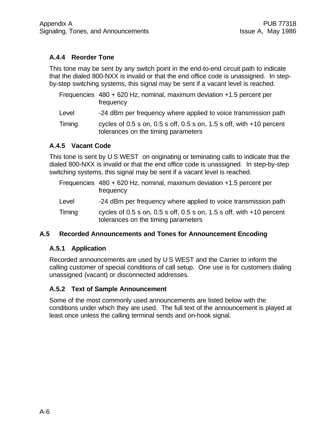# **A.4.4 Reorder Tone**

This tone may be sent by any switch point in the end-to-end circuit path to indicate that the dialed 800-NXX is invalid or that the end office code is unassigned. In stepby-step switching systems, this signal may be sent if a vacant level is reached.

| Frequencies $480 + 620$ Hz, nominal, maximum deviation $+1.5$ percent per |
|---------------------------------------------------------------------------|
| frequency                                                                 |

- Level -24 dBm per frequency where applied to voice transmission path
- Timing cycles of 0.5 s on, 0.5 s off, 0.5 s on, 1.5 s off, with +10 percent tolerances on the timing parameters

### **A.4.5 Vacant Code**

This tone is sent by U S WEST on originating or teminating calls to indicate that the dialed 800-NXX is invalid or that the end office code is unassigned. In step-by-step switching systems, this signal may be sent if a vacant level is reached.

|        | Frequencies $480 + 620$ Hz, nominal, maximum deviation $+1.5$ percent per<br>frequency                        |
|--------|---------------------------------------------------------------------------------------------------------------|
| Level  | -24 dBm per frequency where applied to voice transmission path                                                |
| Timing | cycles of 0.5 s on, 0.5 s off, 0.5 s on, 1.5 s off, with $+10$ percent<br>tolerances on the timing parameters |

## **A.5 Recorded Announcements and Tones for Announcement Encoding**

## **A.5.1 Application**

Recorded announcements are used by U S WEST and the Carrier to inform the calling customer of special conditions of call setup. One use is for customers dialing unassigned (vacant) or disconnected addresses.

## **A.5.2 Text of Sample Announcement**

Some of the most commonly used announcements are listed below with the conditions under which they are used. The full text of the announcement is played at least once unless the calling terminal sends and on-hook signal.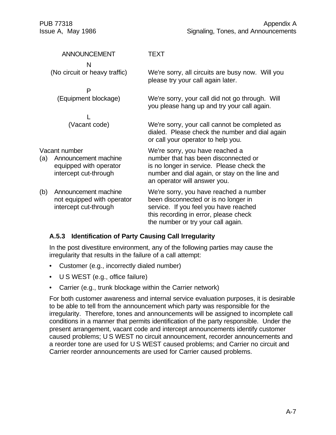|                               | N                                                                                        |                                                                                                                                                                                                        |  |  |  |
|-------------------------------|------------------------------------------------------------------------------------------|--------------------------------------------------------------------------------------------------------------------------------------------------------------------------------------------------------|--|--|--|
| (No circuit or heavy traffic) |                                                                                          | We're sorry, all circuits are busy now. Will you<br>please try your call again later.                                                                                                                  |  |  |  |
|                               | P                                                                                        |                                                                                                                                                                                                        |  |  |  |
| (Equipment blockage)          |                                                                                          | We're sorry, your call did not go through. Will<br>you please hang up and try your call again.                                                                                                         |  |  |  |
|                               |                                                                                          |                                                                                                                                                                                                        |  |  |  |
|                               | (Vacant code)                                                                            | We're sorry, your call cannot be completed as<br>dialed. Please check the number and dial again<br>or call your operator to help you.                                                                  |  |  |  |
| (a)                           | Vacant number<br>Announcement machine<br>equipped with operator<br>intercept cut-through | We're sorry, you have reached a<br>number that has been disconnected or<br>is no longer in service. Please check the<br>number and dial again, or stay on the line and<br>an operator will answer you. |  |  |  |
| (b)                           | Announcement machine<br>not equipped with operator<br>intercept cut-through              | We're sorry, you have reached a number<br>been disconnected or is no longer in<br>service. If you feel you have reached<br>this recording in error, please check<br>the number or try your call again. |  |  |  |
|                               |                                                                                          |                                                                                                                                                                                                        |  |  |  |

#### **A.5.3 Identification of Party Causing Call Irregularity**

In the post divestiture environment, any of the following parties may cause the irregularity that results in the failure of a call attempt:

• Customer (e.g., incorrectly dialed number)

ANNOUNCEMENT TEXT

- U S WEST (e.g., office failure)
- Carrier (e.g., trunk blockage within the Carrier network)

For both customer awareness and internal service evaluation purposes, it is desirable to be able to tell from the announcement which party was responsible for the irregularity. Therefore, tones and announcements will be assigned to incomplete call conditions in a manner that permits identification of the party responsible. Under the present arrangement, vacant code and intercept announcements identify customer caused problems; U S WEST no circuit announcement, recorder announcements and a reorder tone are used for U S WEST caused problems; and Carrier no circuit and Carrier reorder announcements are used for Carrier caused problems.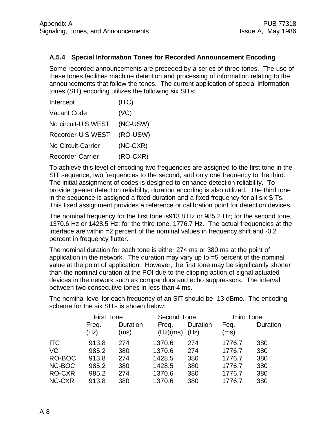#### **A.5.4 Special Information Tones for Recorded Announcement Encoding**

Some recorded announcements are preceded by a series of three tones. The use of these tones facilities machine detection and processing of information relating to the announcements that follow the tones. The current application of special information tones (SIT) encoding utilizes the following six SITs:

| Intercept                 | (ITC)      |
|---------------------------|------------|
| <b>Vacant Code</b>        | (VC)       |
| No circuit-U S WEST       | (NC-USW)   |
| Recorder-U S WEST         | (RO-USW)   |
| <b>No Circuit-Carrier</b> | $(NC-CXR)$ |
| <b>Recorder-Carrier</b>   | $(RO-CXR)$ |
|                           |            |

To achieve this level of encoding two frequencies are assigned to the first tone in the SIT sequence, two frequencies to the second, and only one frequency to the third. The initial assignment of codes is designed to enhance detection reliability. To provide greater detection reliability, duration encoding is also utilized. The third tone in the sequence is assigned a fixed duration and a fixed frequency for all six SITs. This fixed assignment provides a reference or calibration point for detection devices.

The nominal frequency for the first tone is913.8 Hz or 985.2 Hz; for the second tone, 1370.6 Hz or 1428.5 Hz; for the third tone, 1776.7 Hz. The actual frequencies at the interface are within =2 percent of the nominal values in frequency shift and -0.2 percent in frequency flutter.

The nominal duration for each tone is either 274 ms or 380 ms at the point of application in the network. The duration may vary up to =5 percent of the nominal value at the point of application. However, the first tone may be significantly shorter than the nominal duration at the POI due to the clipping action of signal actuated devices in the network such as compandors and echo suppressors. The interval between two consecutive tones in less than 4 ms.

The nominal level for each frequency of an SIT should be -13 dBmo. The encoding scheme for the six SITs is shown below:

|            | <b>First Tone</b> |                  | Second Tone       |                  | <b>Third Tone</b> |          |
|------------|-------------------|------------------|-------------------|------------------|-------------------|----------|
|            | Freq.<br>(Hz)     | Duration<br>(ms) | Freq.<br>(Hz)(ms) | Duration<br>(Hz) | Feq.<br>(ms)      | Duration |
| <b>ITC</b> | 913.8             | 274              | 1370.6            | 274              | 1776.7            | 380      |
| <b>VC</b>  | 985.2             | 380              | 1370.6            | 274              | 1776.7            | 380      |
| RO-BOC     | 913.8             | 274              | 1428.5            | 380              | 1776.7            | 380      |
| NC-BOC     | 985.2             | 380              | 1428.5            | 380              | 1776.7            | 380      |
| RO-CXR     | 985.2             | 274              | 1370.6            | 380              | 1776.7            | 380      |
| NC-CXR     | 913.8             | 380              | 1370.6            | 380              | 1776.7            | 380      |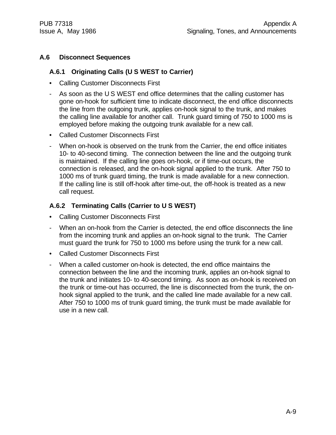## **A.6 Disconnect Sequences**

#### **A.6.1 Originating Calls (U S WEST to Carrier)**

- Calling Customer Disconnects First
- As soon as the U S WEST end office determines that the calling customer has gone on-hook for sufficient time to indicate disconnect, the end office disconnects the line from the outgoing trunk, applies on-hook signal to the trunk, and makes the calling line available for another call. Trunk guard timing of 750 to 1000 ms is employed before making the outgoing trunk available for a new call.
- Called Customer Disconnects First
- When on-hook is observed on the trunk from the Carrier, the end office initiates 10- to 40-second timing. The connection between the line and the outgoing trunk is maintained. If the calling line goes on-hook, or if time-out occurs, the connection is released, and the on-hook signal applied to the trunk. After 750 to 1000 ms of trunk guard timing, the trunk is made available for a new connection. If the calling line is still off-hook after time-out, the off-hook is treated as a new call request.

### **A.6.2 Terminating Calls (Carrier to U S WEST)**

- Calling Customer Disconnects First
- When an on-hook from the Carrier is detected, the end office disconnects the line from the incoming trunk and applies an on-hook signal to the trunk. The Carrier must guard the trunk for 750 to 1000 ms before using the trunk for a new call.
- Called Customer Disconnects First
- When a called customer on-hook is detected, the end office maintains the connection between the line and the incoming trunk, applies an on-hook signal to the trunk and initiates 10- to 40-second timing. As soon as on-hook is received on the trunk or time-out has occurred, the line is disconnected from the trunk, the onhook signal applied to the trunk, and the called line made available for a new call. After 750 to 1000 ms of trunk guard timing, the trunk must be made available for use in a new call.